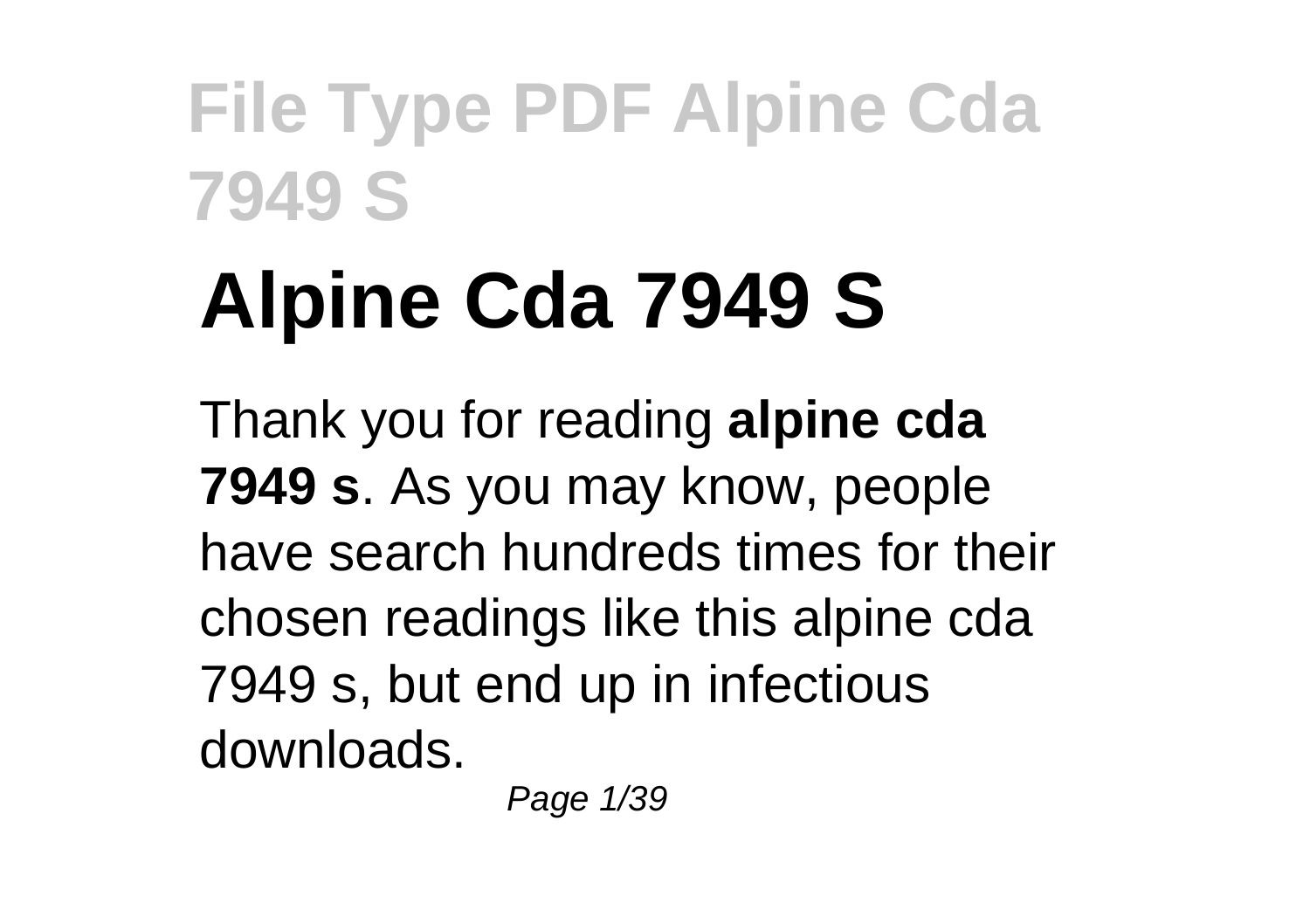# **Alpine Cda 7949 S**

Thank you for reading **alpine cda 7949 s**. As you may know, people have search hundreds times for their chosen readings like this alpine cda 7949 s, but end up in infectious downloads.

Page 1/39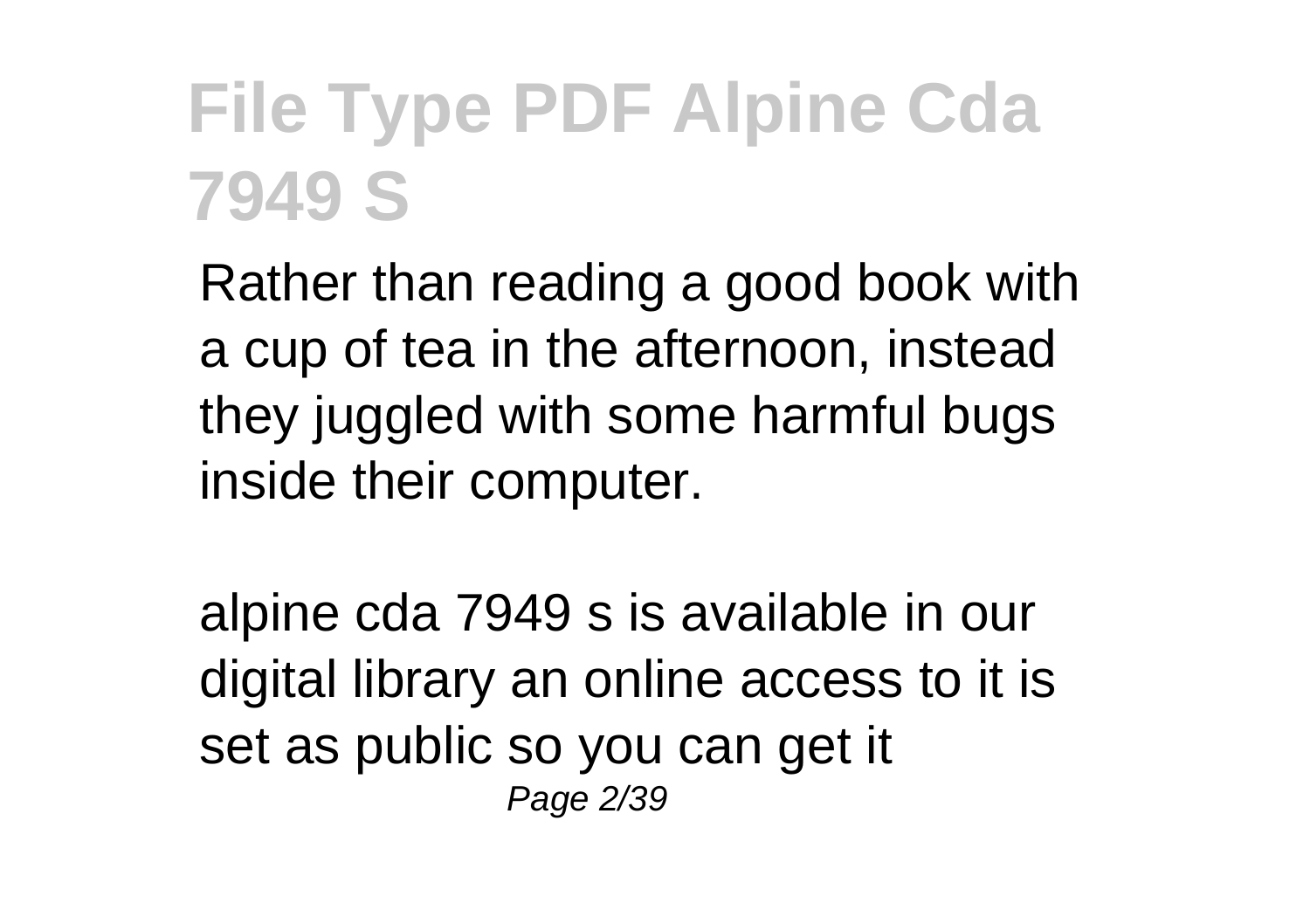Rather than reading a good book with a cup of tea in the afternoon, instead they juggled with some harmful bugs inside their computer.

alpine cda 7949 s is available in our digital library an online access to it is set as public so you can get it Page 2/39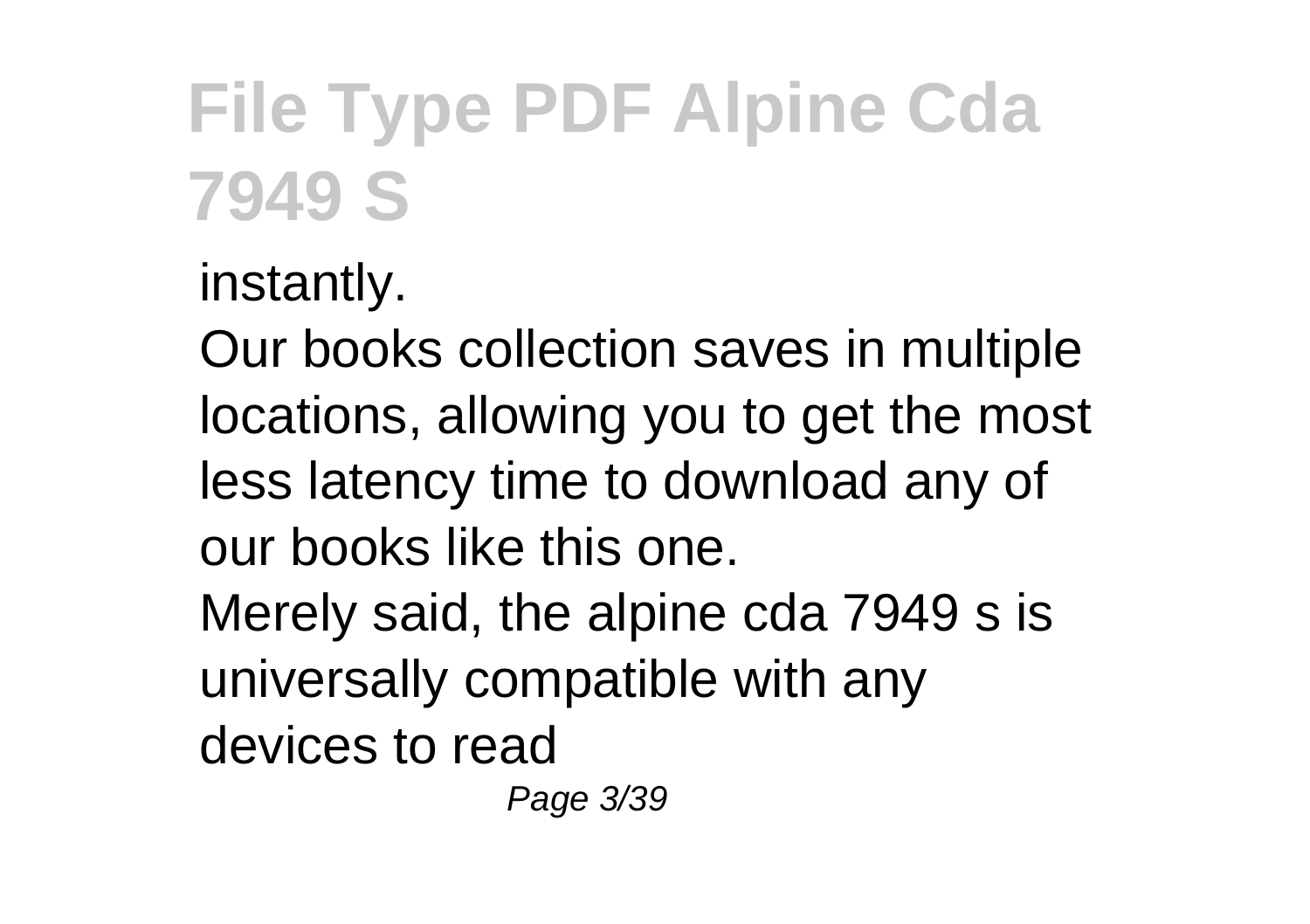instantly.

Our books collection saves in multiple locations, allowing you to get the most less latency time to download any of our books like this one.

Merely said, the alpine cda 7949 s is universally compatible with any devices to read

Page 3/39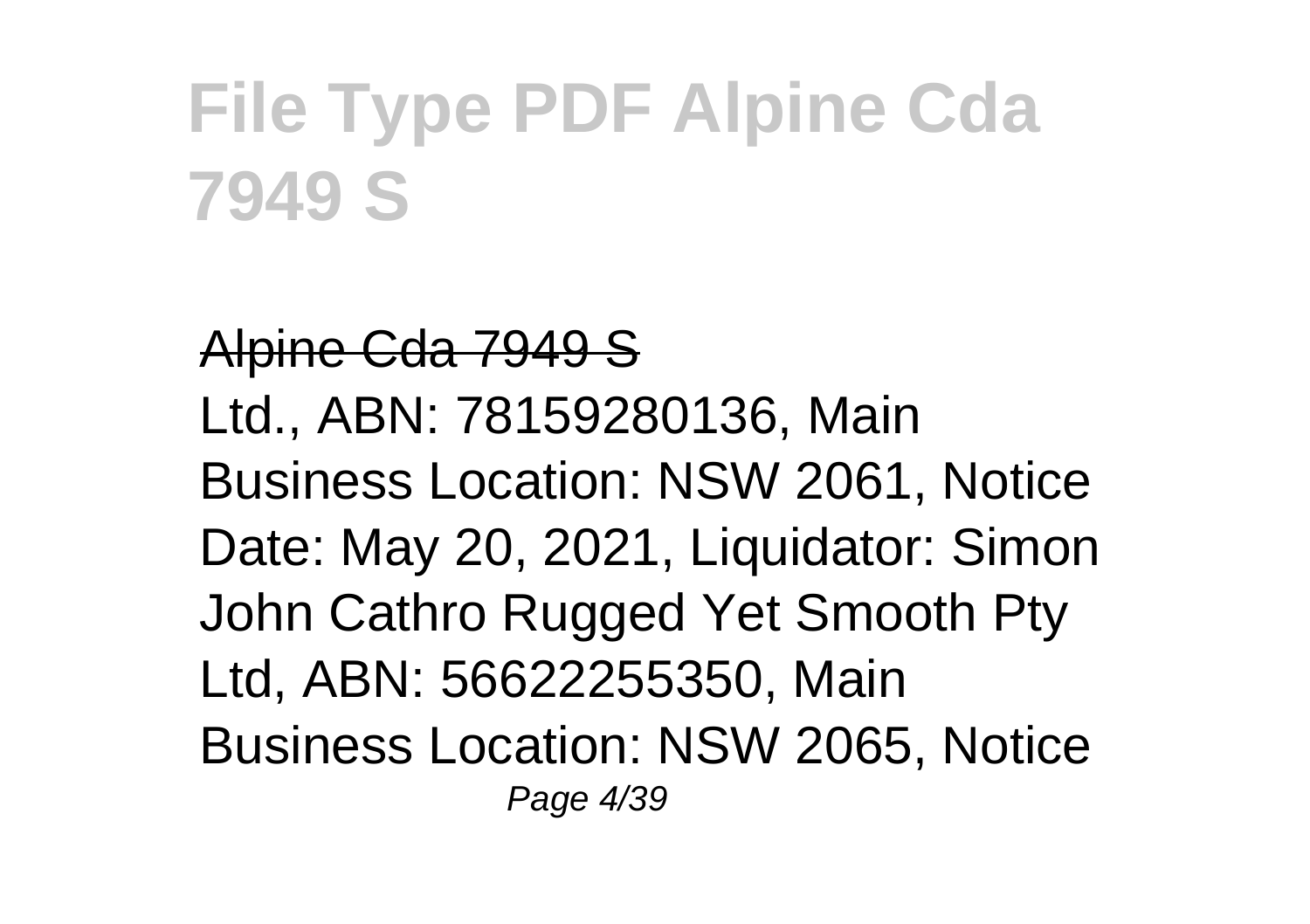#### Alpine Cda 7949 S

Ltd., ABN: 78159280136, Main Business Location: NSW 2061, Notice Date: May 20, 2021, Liquidator: Simon John Cathro Rugged Yet Smooth Pty Ltd, ABN: 56622255350, Main Business Location: NSW 2065, Notice Page 4/39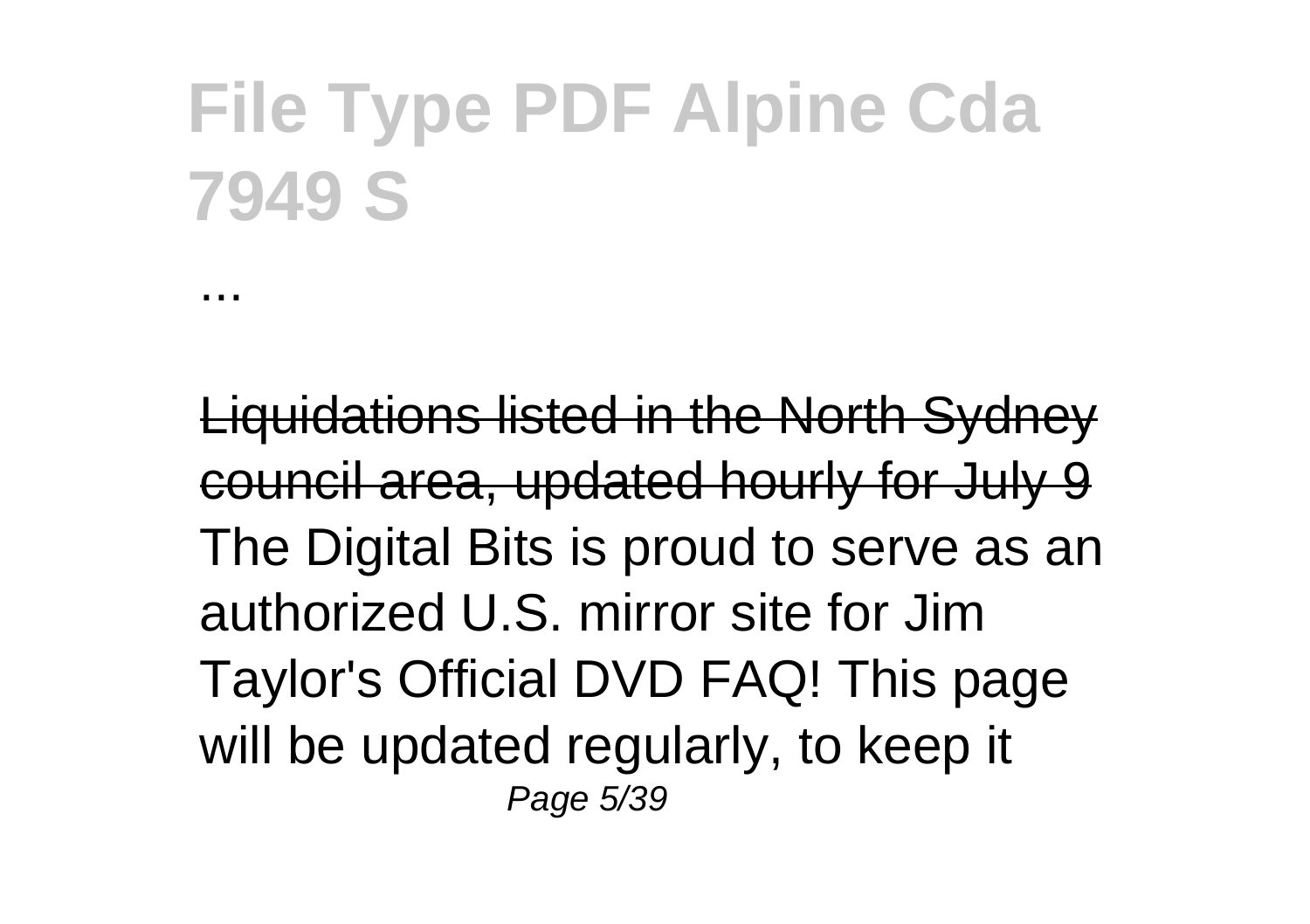...

Liquidations listed in the North Sydney council area, updated hourly for July 9 The Digital Bits is proud to serve as an authorized U.S. mirror site for Jim Taylor's Official DVD FAQ! This page will be updated regularly, to keep it Page 5/39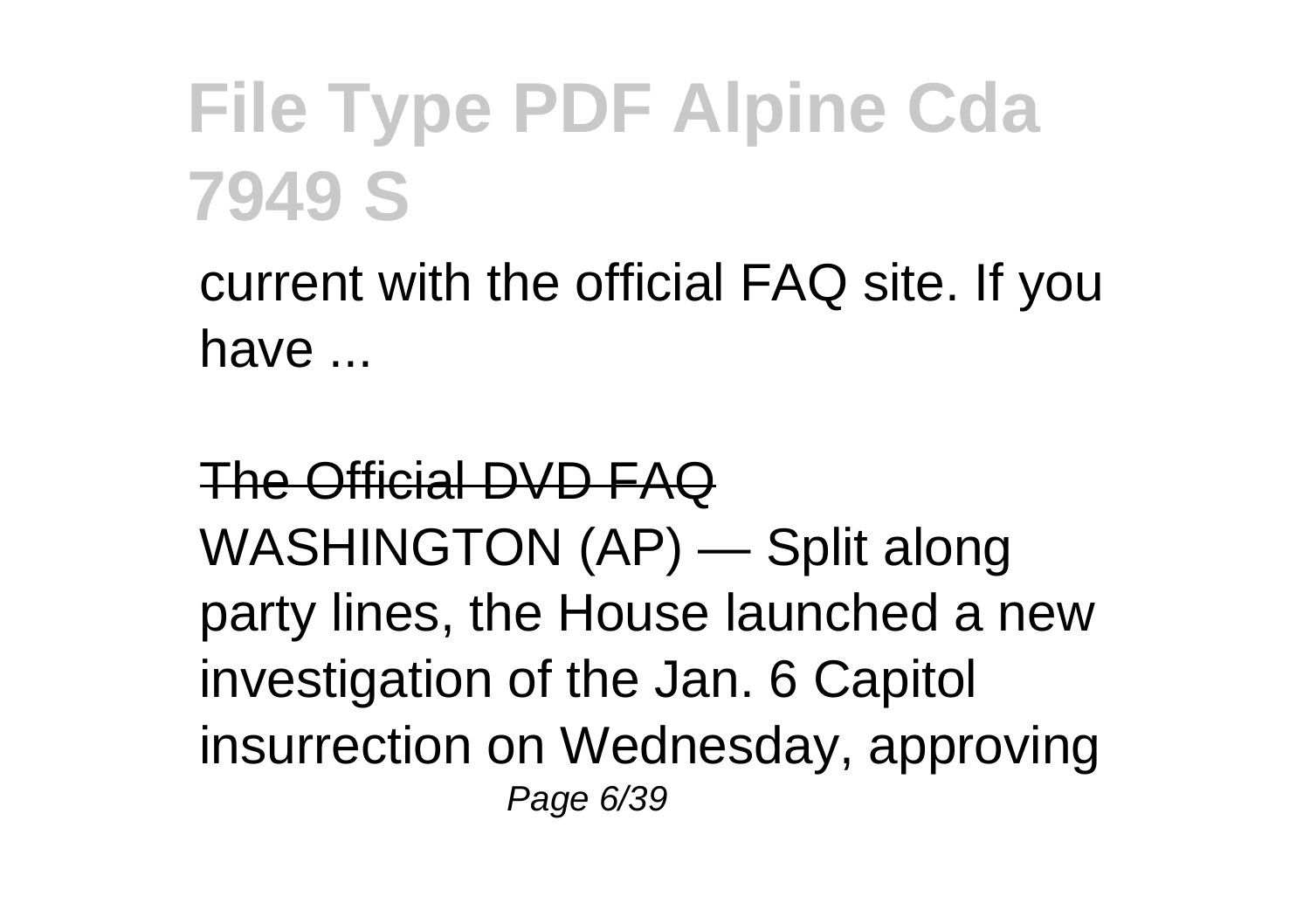current with the official FAQ site. If you have ...

#### The Official DVD FAQ WASHINGTON (AP) — Split along party lines, the House launched a new investigation of the Jan. 6 Capitol insurrection on Wednesday, approving Page 6/39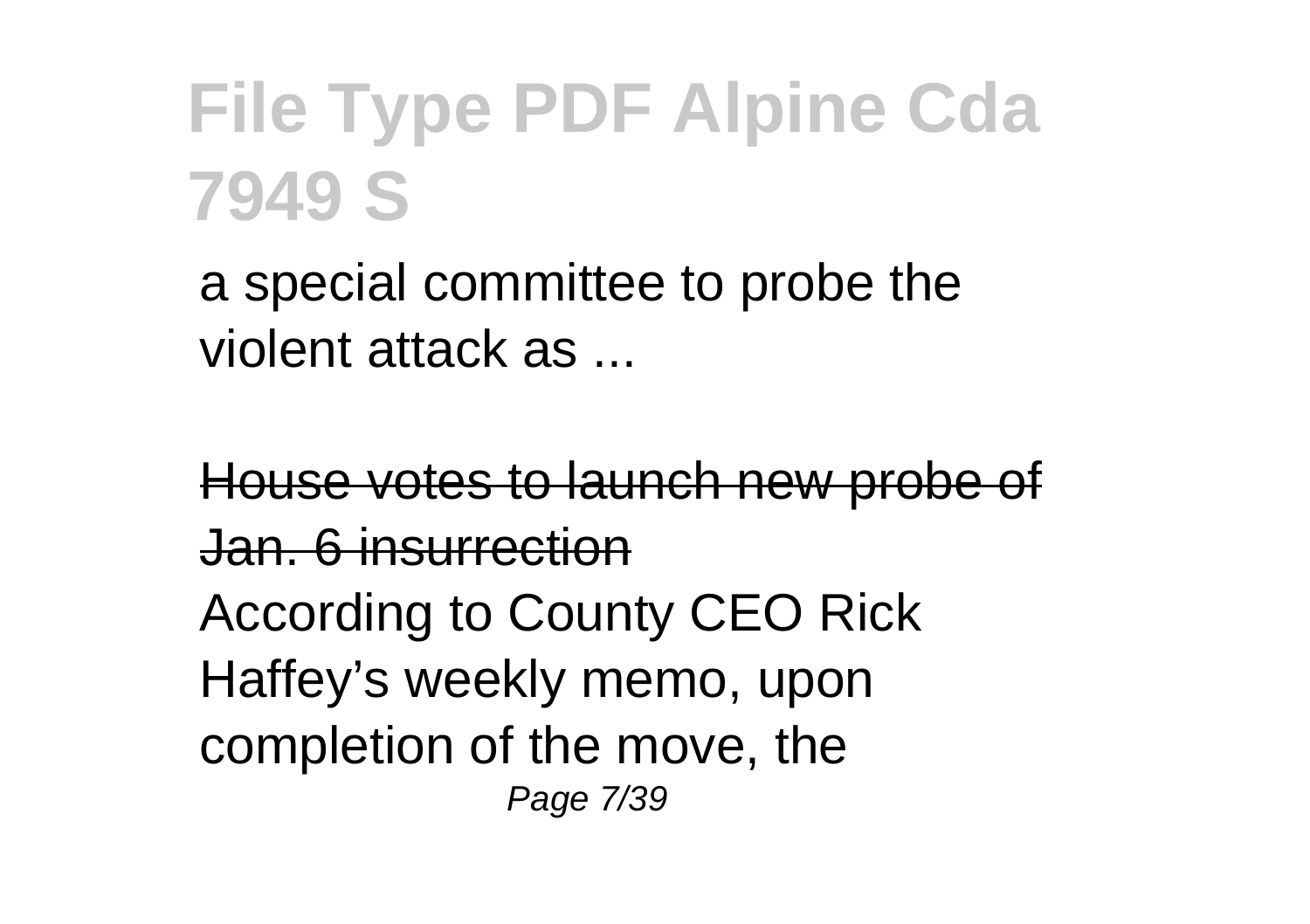a special committee to probe the violent attack as ...

House votes to launch new probe of Jan. 6 insurrection According to County CEO Rick Haffey's weekly memo, upon completion of the move, the Page 7/39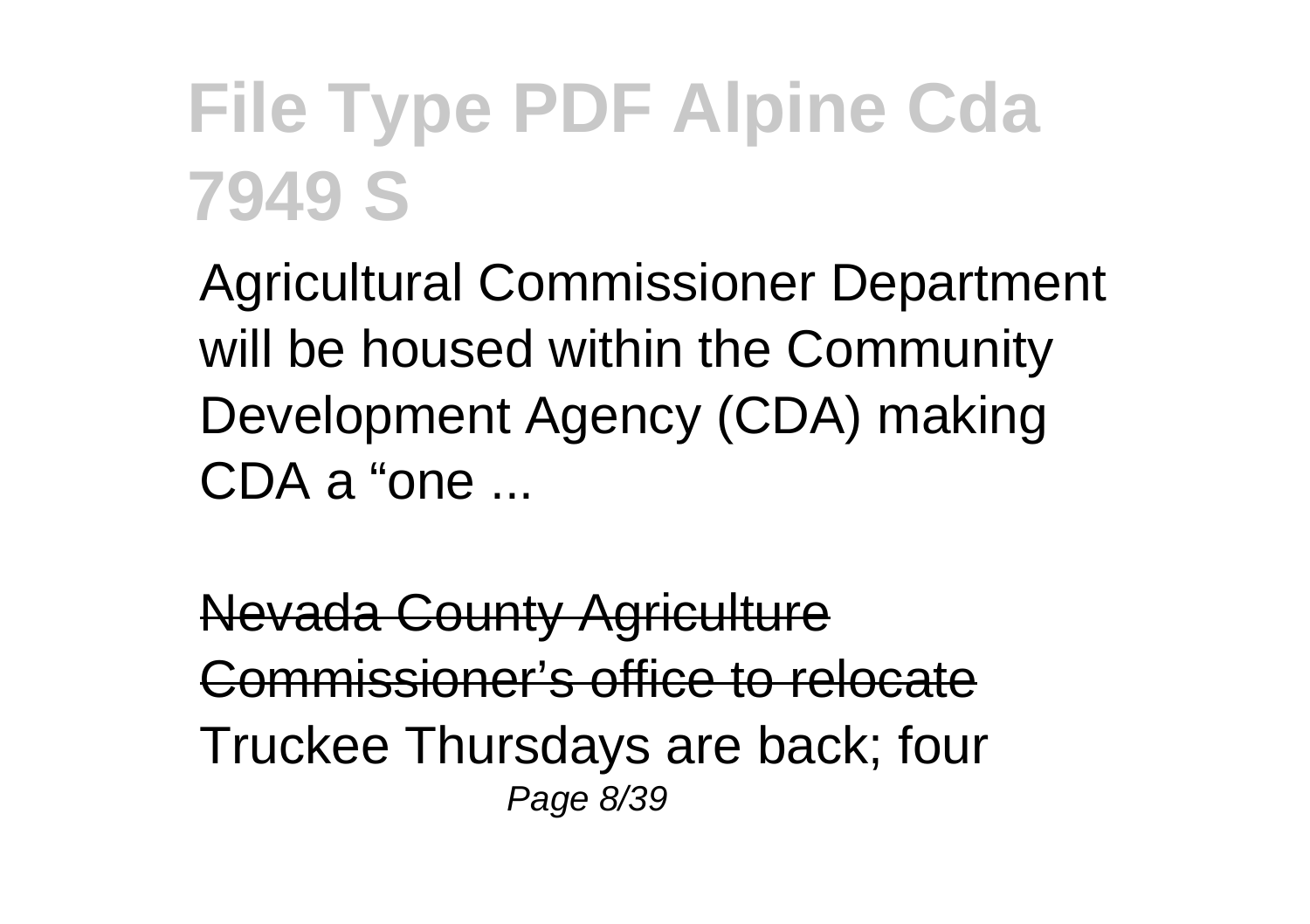Agricultural Commissioner Department will be housed within the Community Development Agency (CDA) making  $CDA$  a " $one$ 

Nevada County Agriculture Commissioner's office to relocate Truckee Thursdays are back; four Page 8/39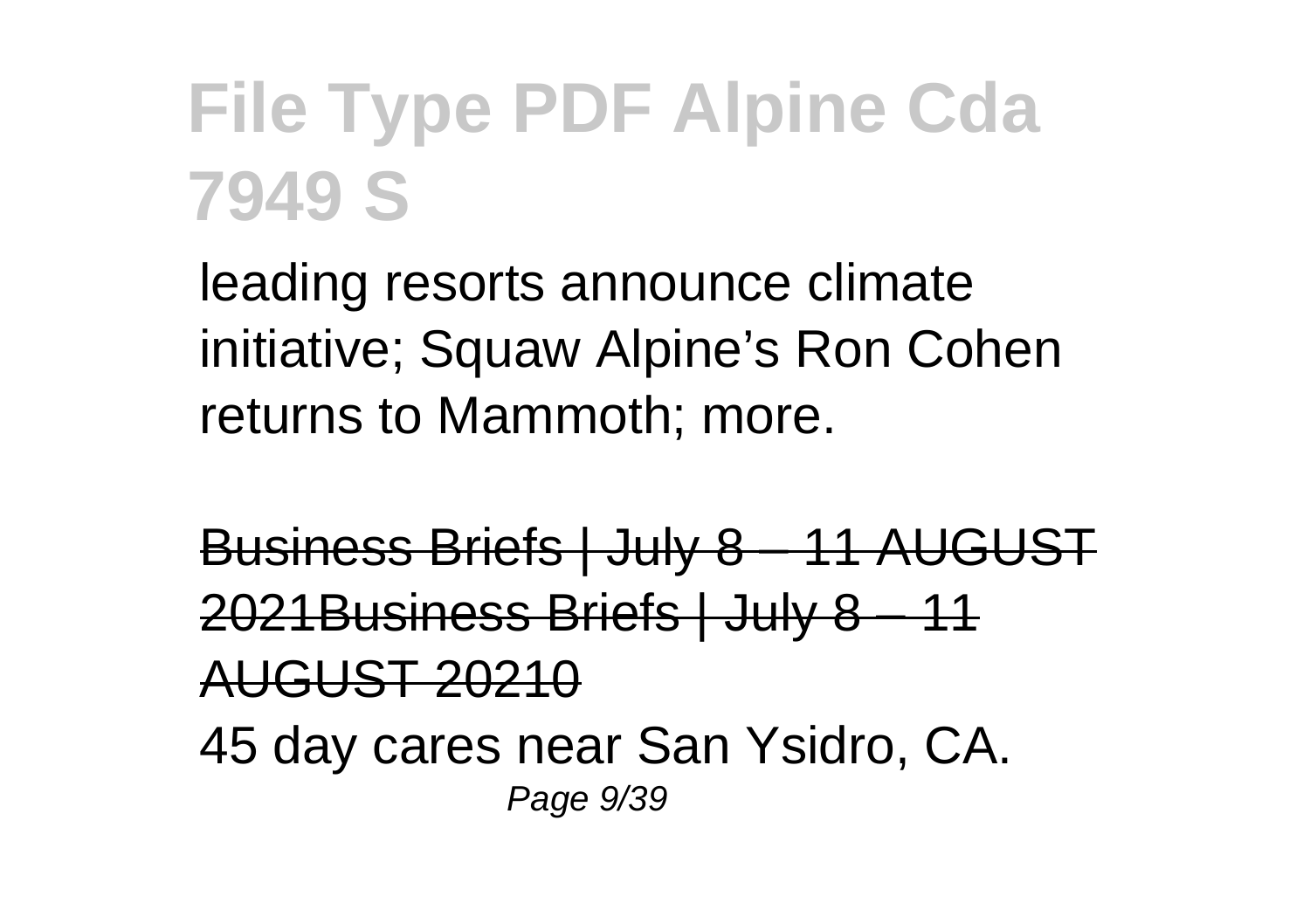leading resorts announce climate initiative; Squaw Alpine's Ron Cohen returns to Mammoth; more.

Business Briefs | July 8 – 11 AUGUST 2021Business Briefs | July 8 – 11 AUGUST 20210 45 day cares near San Ysidro, CA. Page 9/39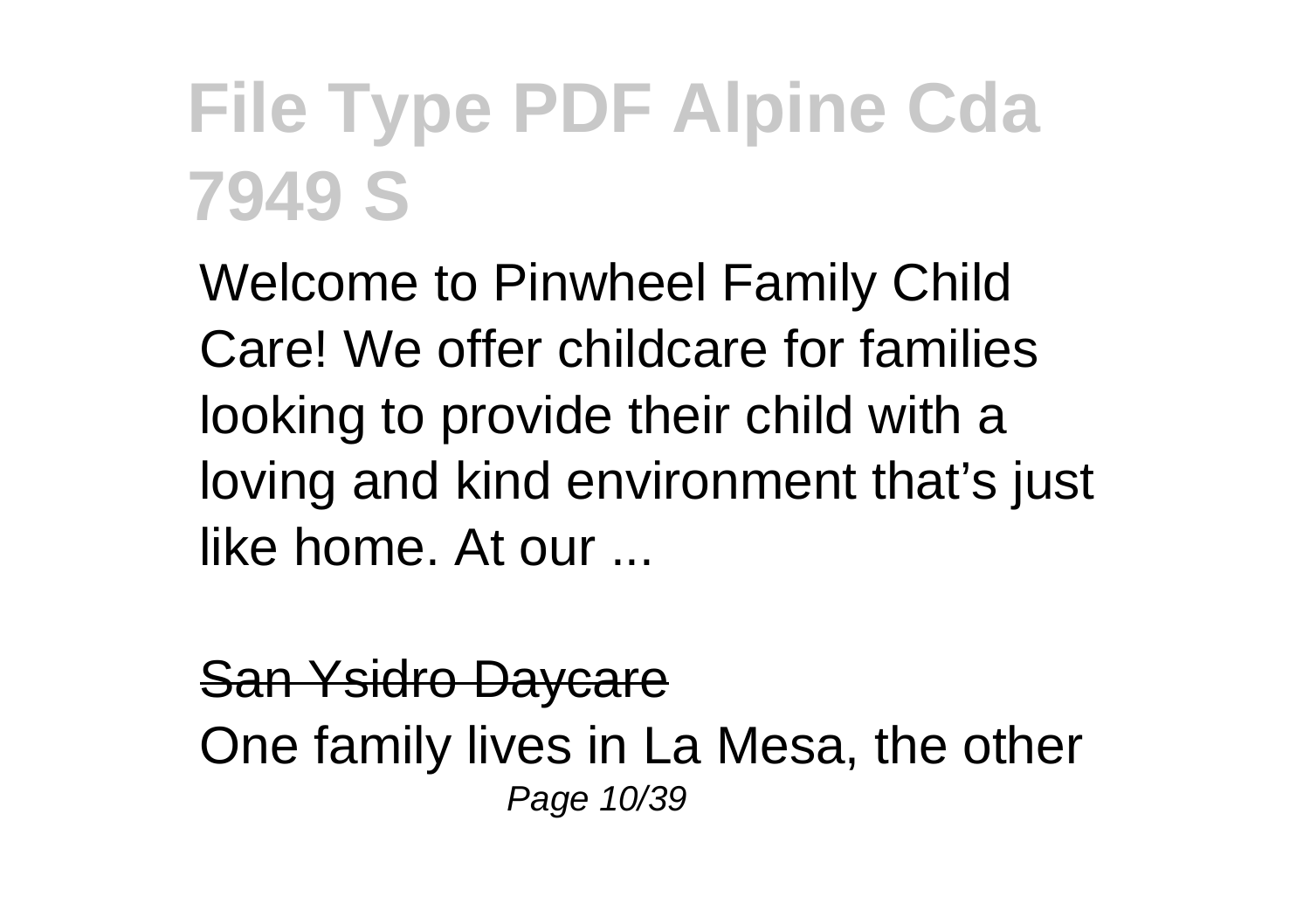Welcome to Pinwheel Family Child Care! We offer childcare for families looking to provide their child with a loving and kind environment that's just  $like home$   $At our$ 

San Ysidro Daycare One family lives in La Mesa, the other Page 10/39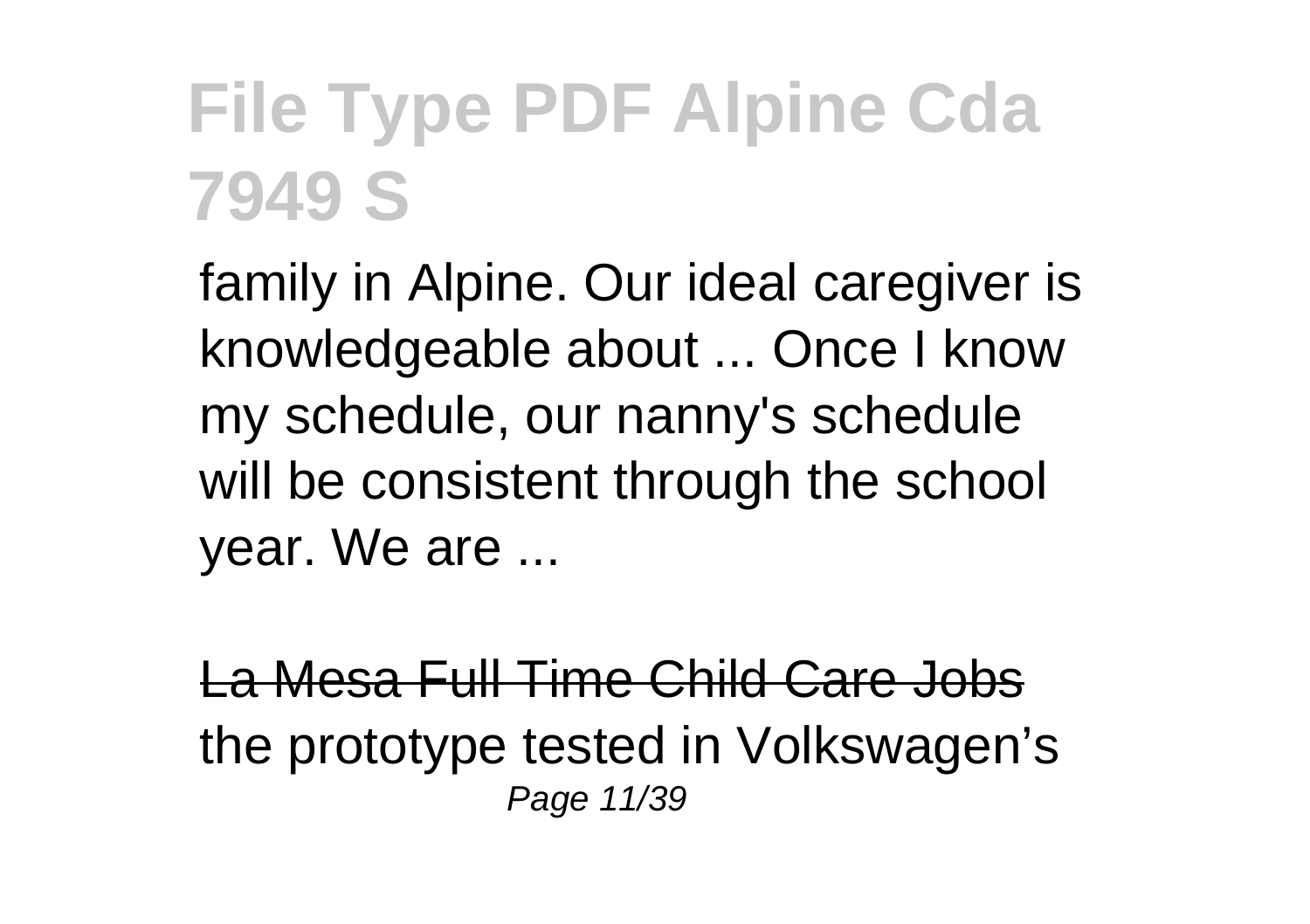family in Alpine. Our ideal caregiver is knowledgeable about ... Once I know my schedule, our nanny's schedule will be consistent through the school year. We are ...

La Mesa Full Time Child Care Jobs the prototype tested in Volkswagen's Page 11/39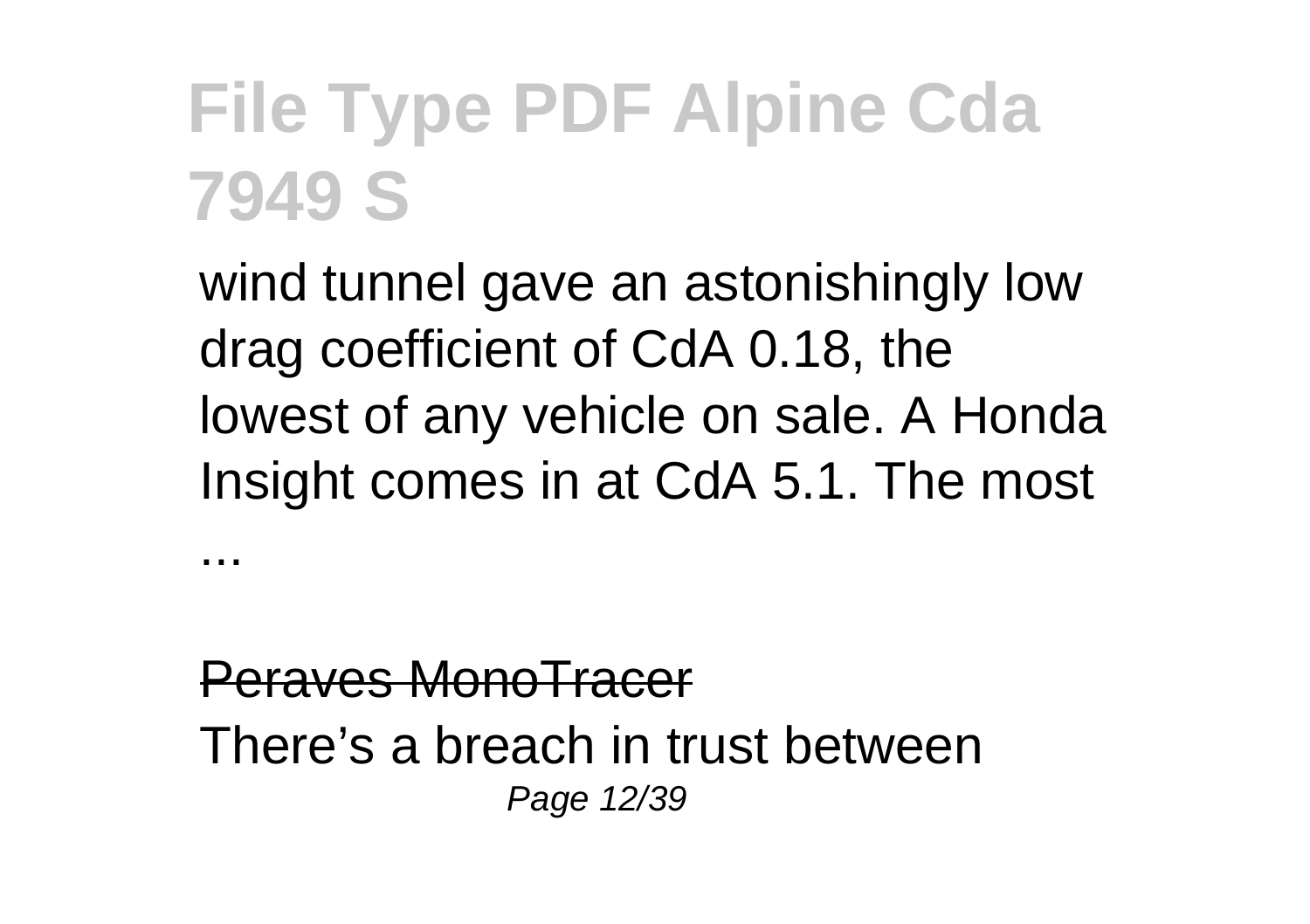wind tunnel gave an astonishingly low drag coefficient of CdA 0.18, the lowest of any vehicle on sale. A Honda Insight comes in at CdA 5.1. The most

Peraves MonoTracer There's a breach in trust between Page 12/39

...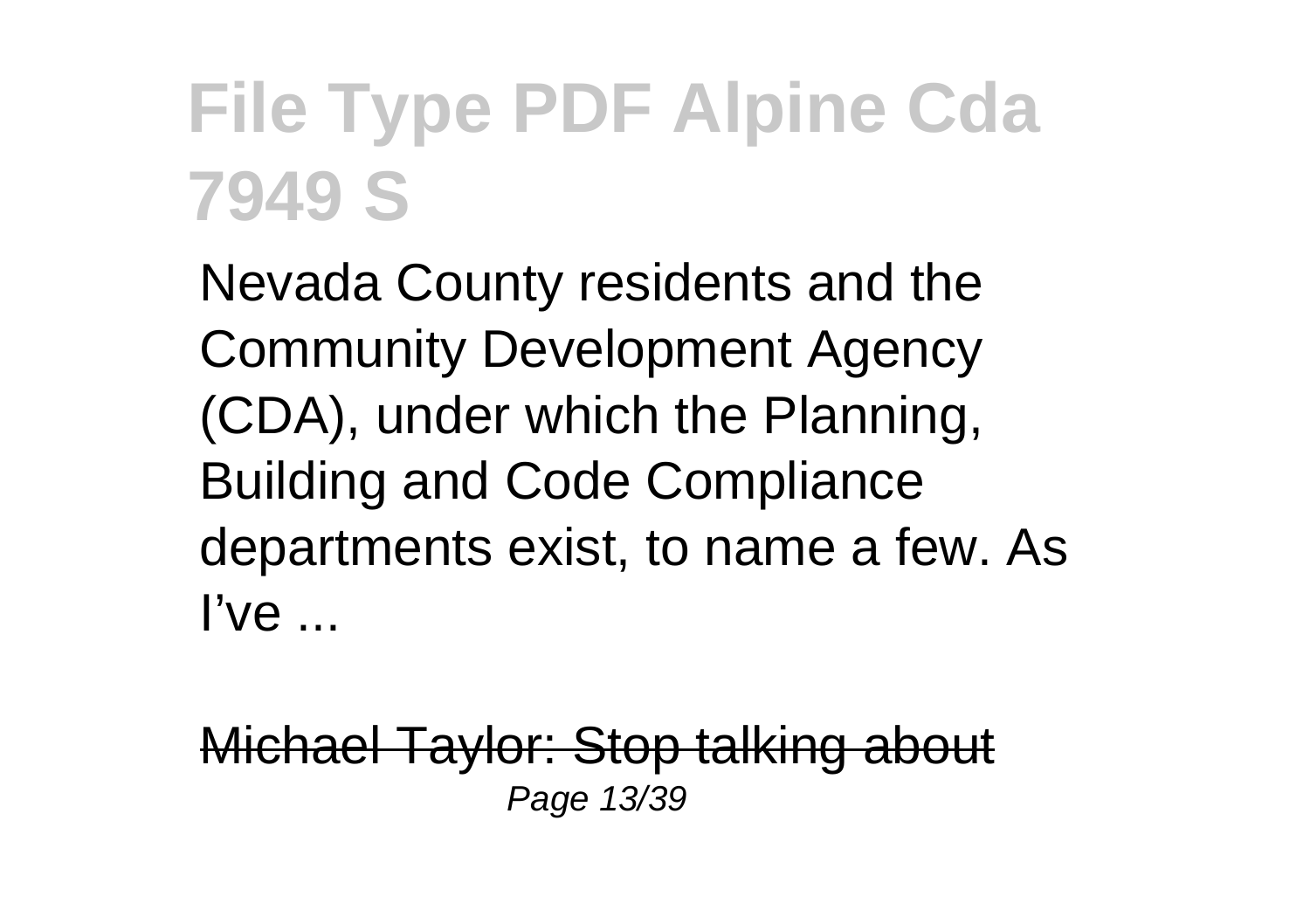Nevada County residents and the Community Development Agency (CDA), under which the Planning, Building and Code Compliance departments exist, to name a few. As I've ...

Michael Taylor: Stop talking about Page 13/39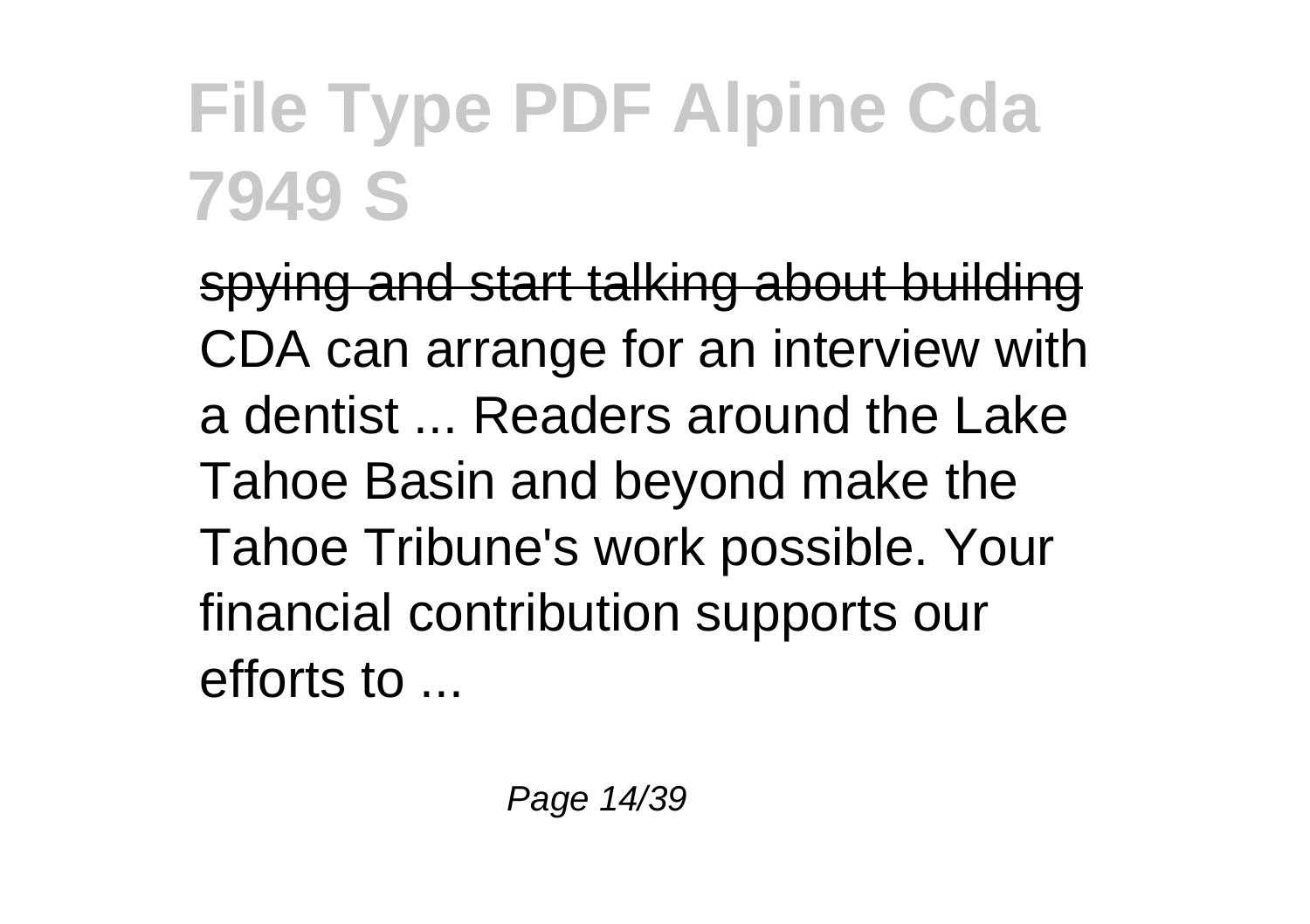spying and start talking about building CDA can arrange for an interview with a dentist ... Readers around the Lake Tahoe Basin and beyond make the Tahoe Tribune's work possible. Your financial contribution supports our efforts to ...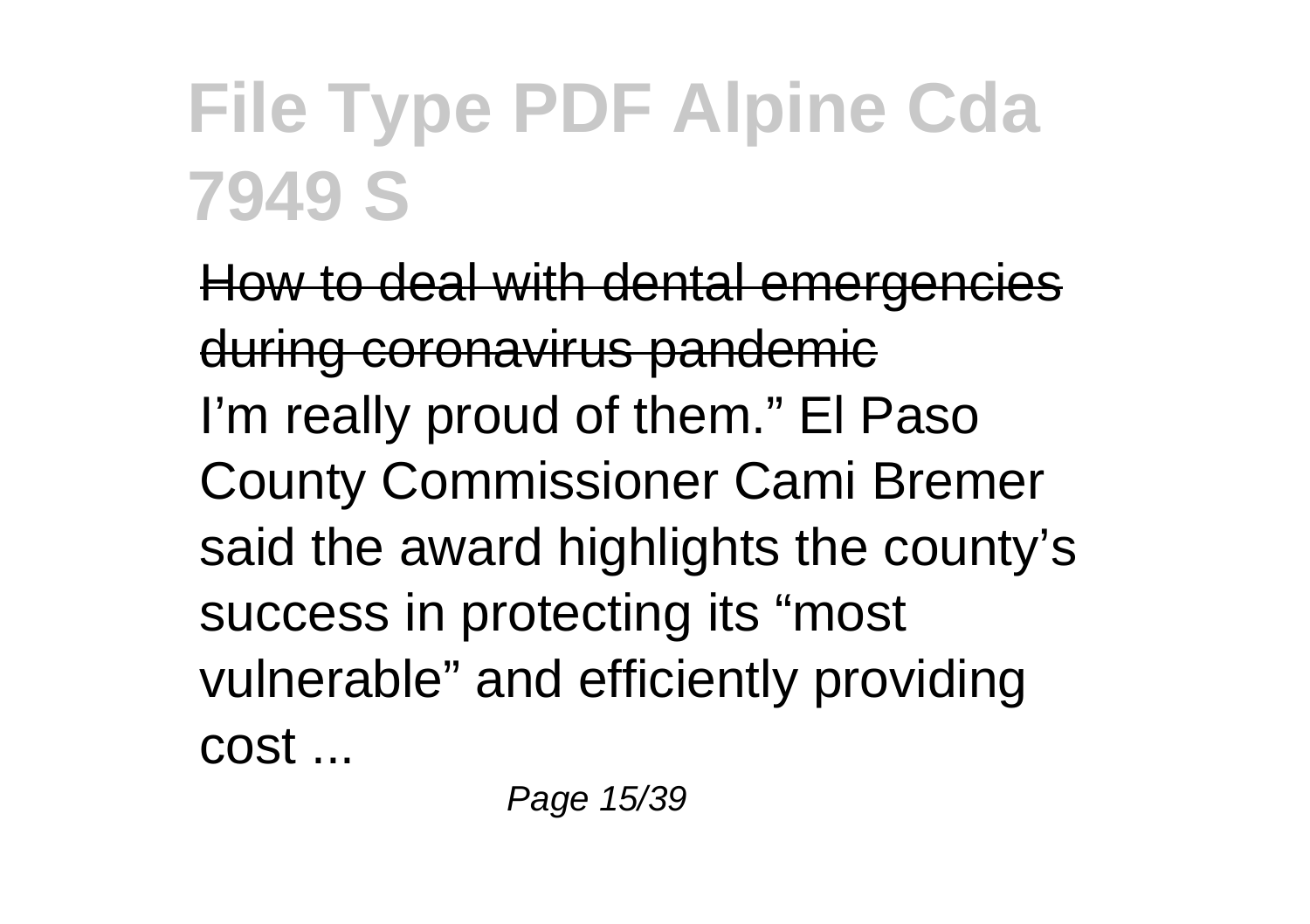How to deal with dental emergencies during coronavirus pandemic I'm really proud of them." El Paso County Commissioner Cami Bremer said the award highlights the county's success in protecting its "most vulnerable" and efficiently providing cost ...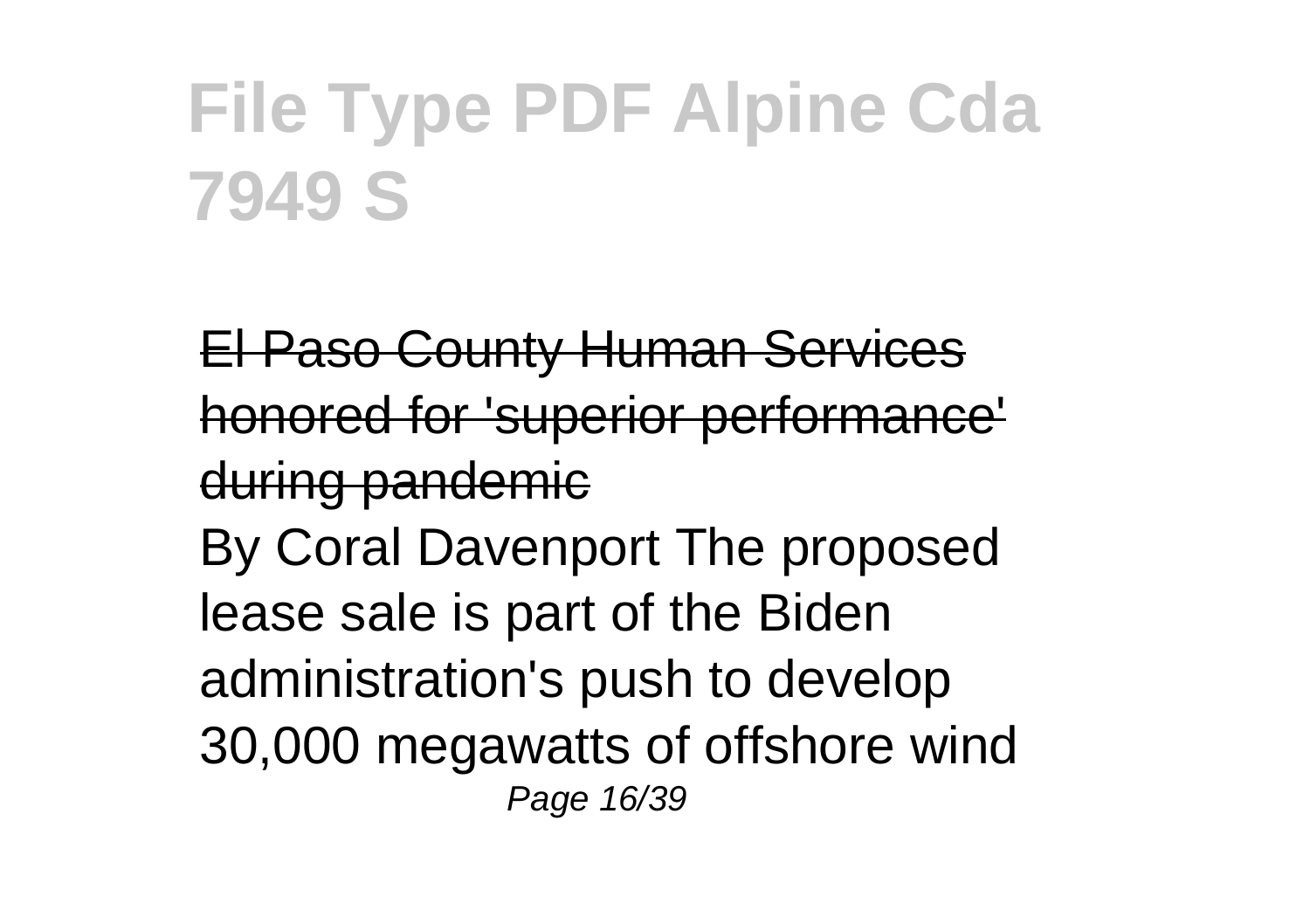El Paso County Human Services honored for 'superior performance' during pandemic By Coral Davenport The proposed lease sale is part of the Biden administration's push to develop 30,000 megawatts of offshore wind Page 16/39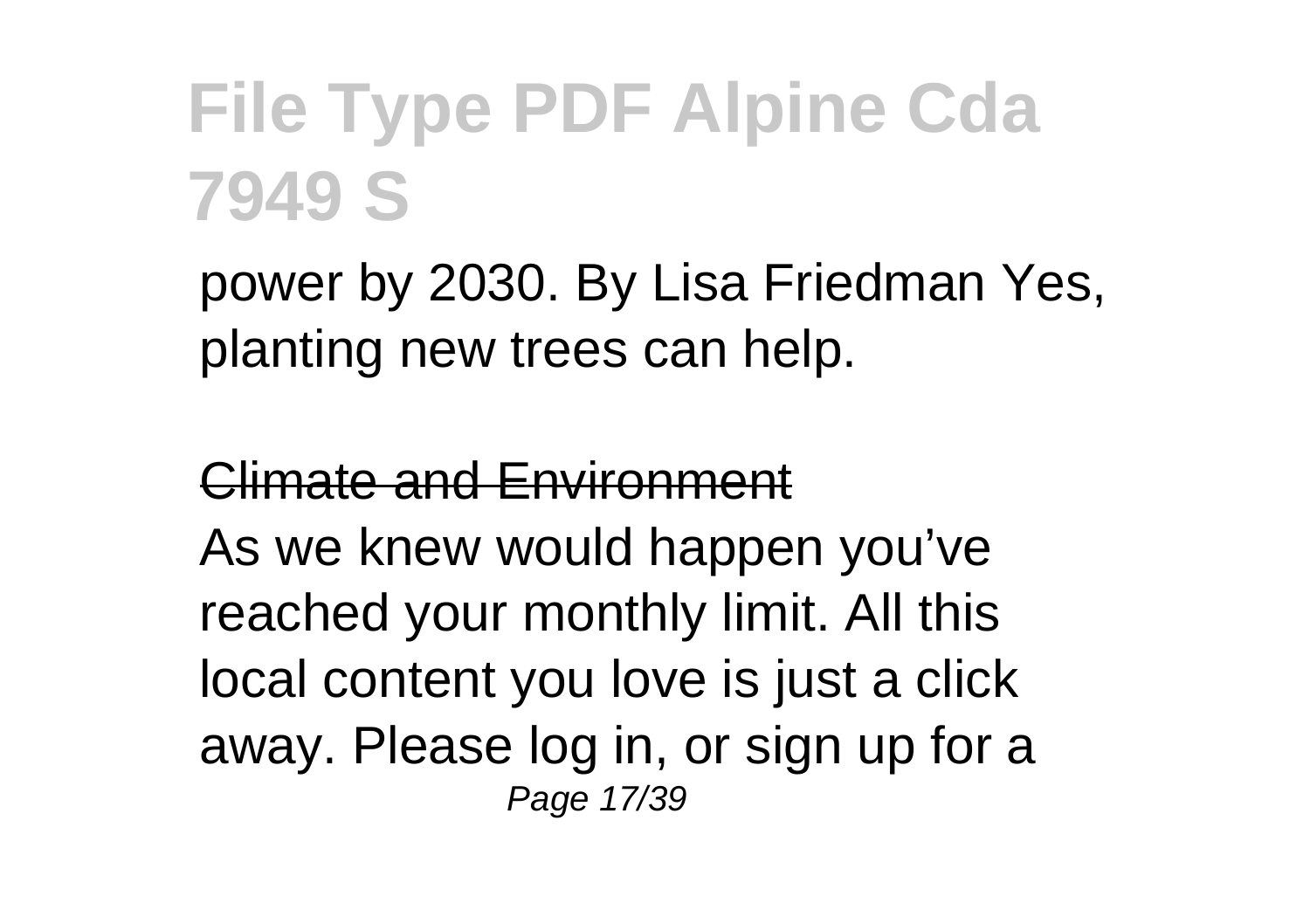power by 2030. By Lisa Friedman Yes, planting new trees can help.

#### Climate and Environment

As we knew would happen you've reached your monthly limit. All this local content you love is just a click away. Please log in, or sign up for a Page 17/39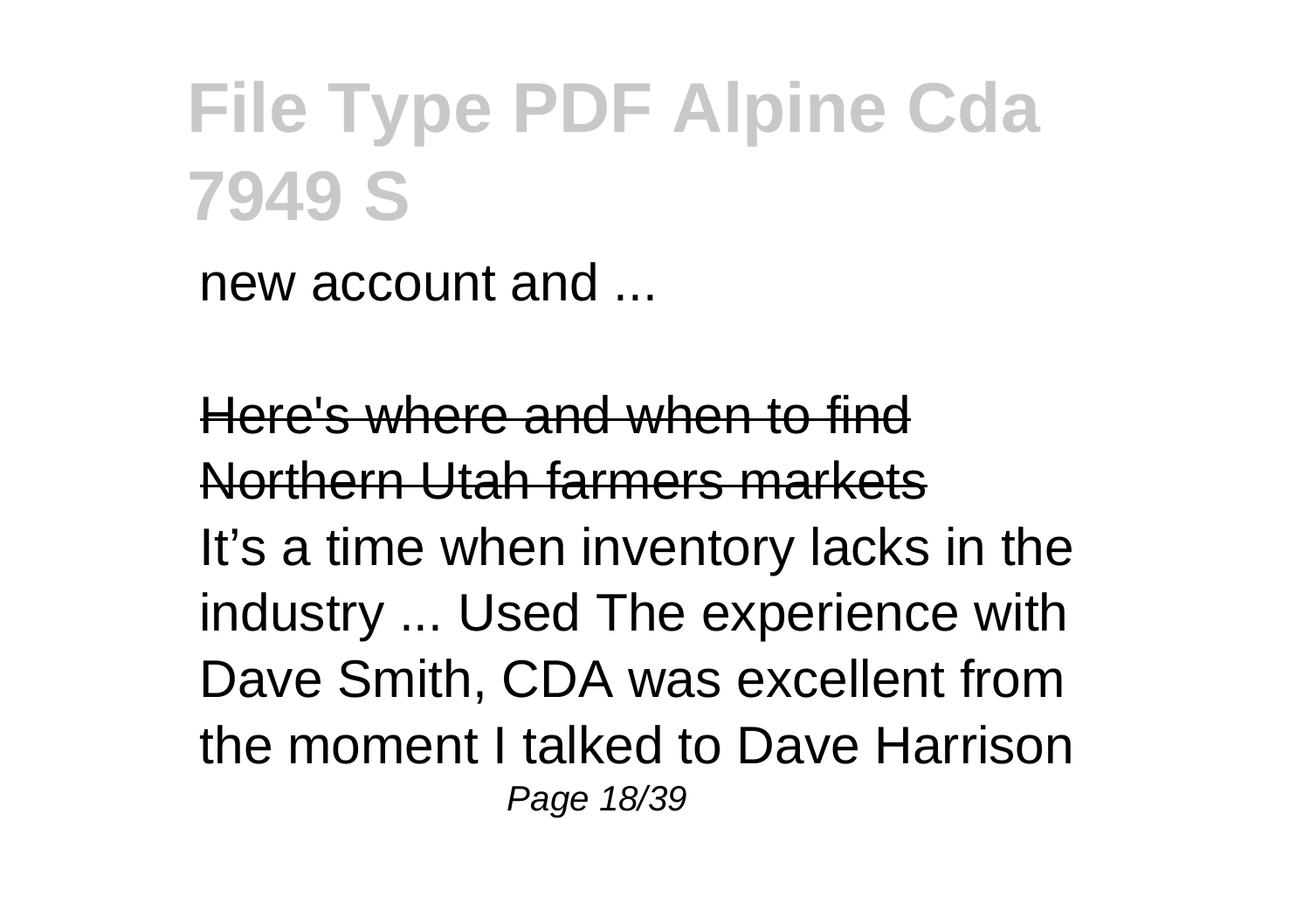new account and ...

Here's where and when to find Northern Utah farmers markets It's a time when inventory lacks in the industry ... Used The experience with Dave Smith, CDA was excellent from the moment I talked to Dave Harrison Page 18/39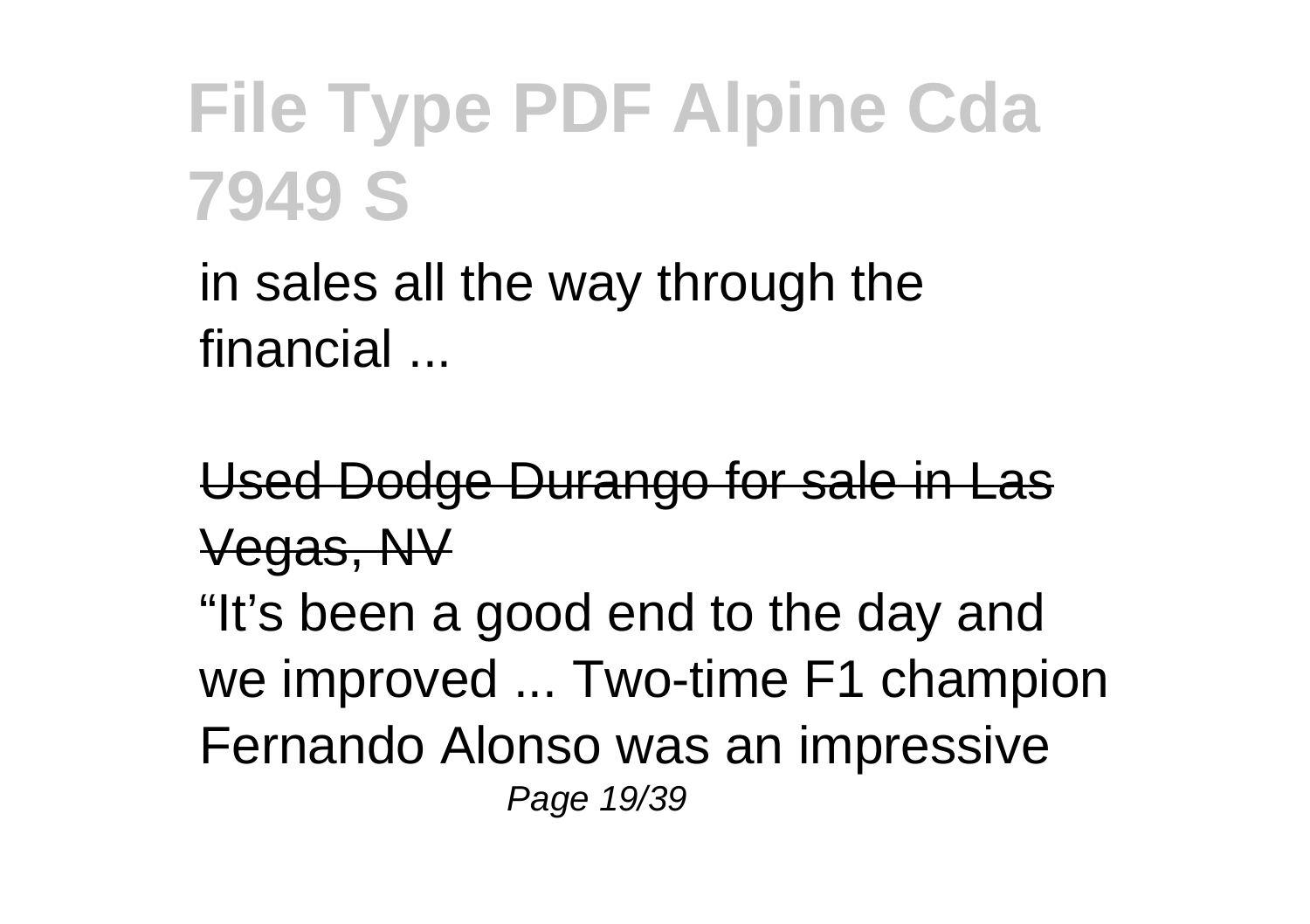in sales all the way through the financial ...

Used Dodge Durango for sale in Las Vegas, NV "It's been a good end to the day and we improved ... Two-time F1 champion Fernando Alonso was an impressive Page 19/39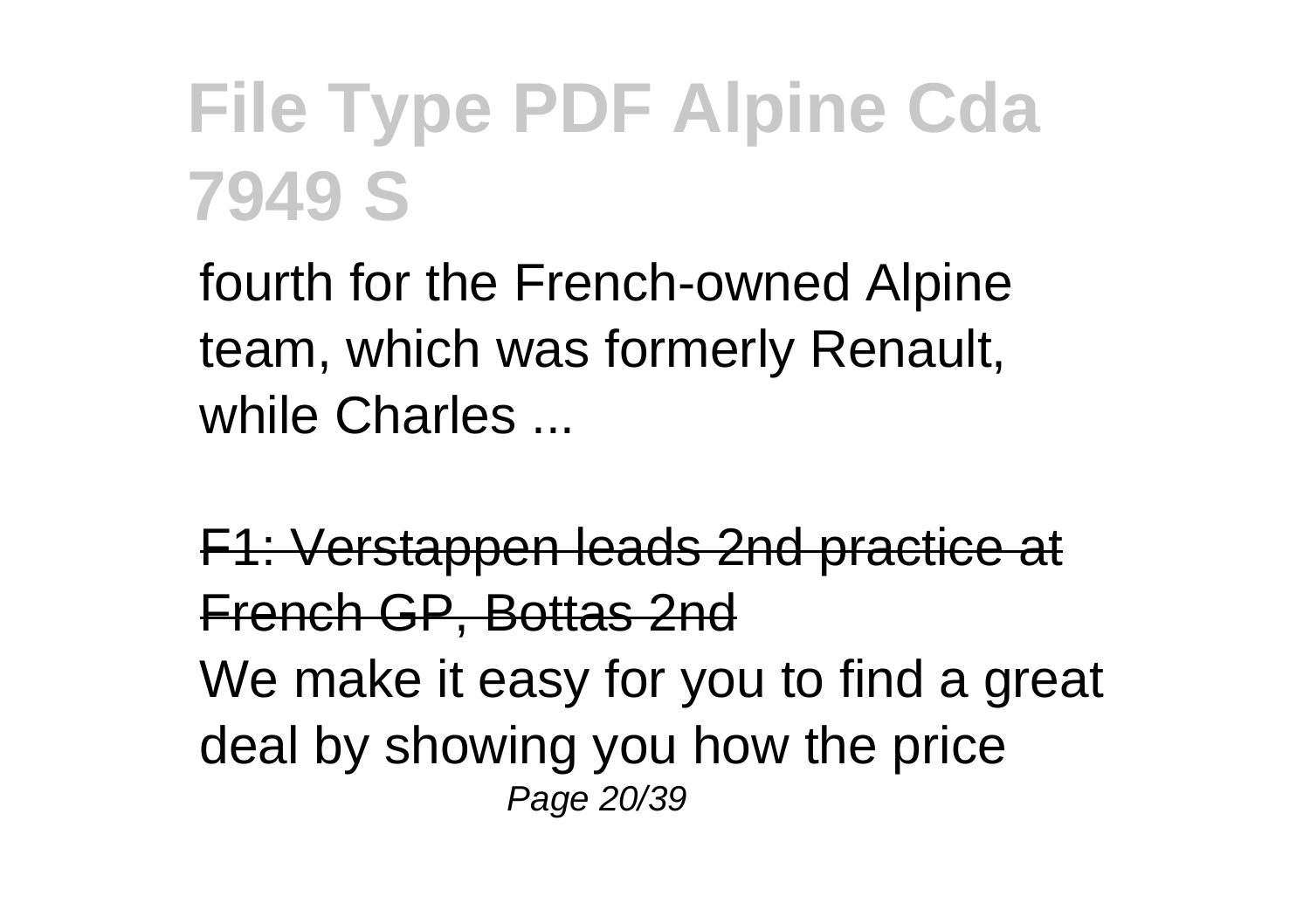fourth for the French-owned Alpine team, which was formerly Renault, while Charles ...

F1: Verstappen leads 2nd practice at French GP, Bottas 2nd We make it easy for you to find a great deal by showing you how the price Page 20/39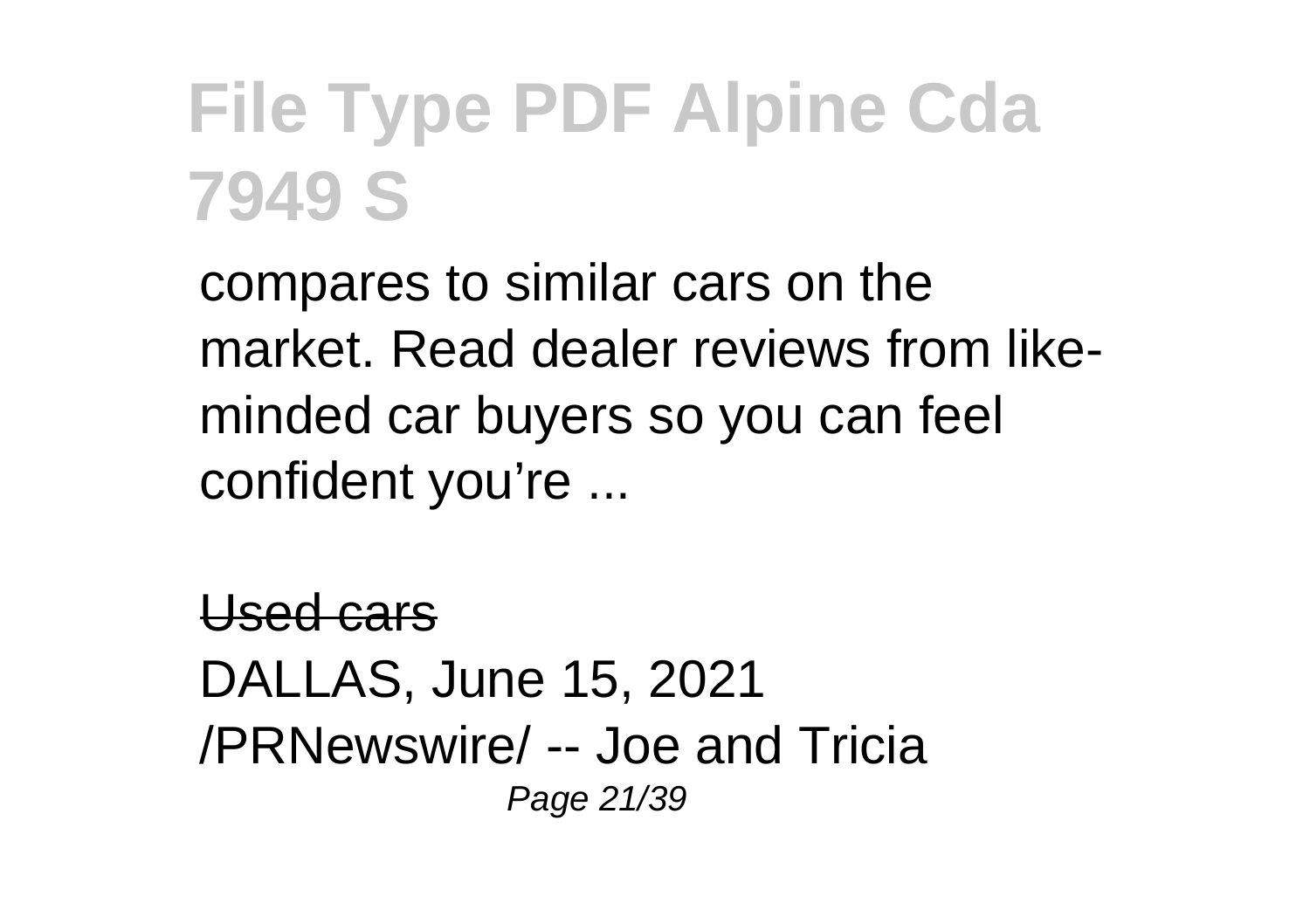compares to similar cars on the market. Read dealer reviews from likeminded car buyers so you can feel confident you're ...

Used cars DALLAS, June 15, 2021 /PRNewswire/ -- Joe and Tricia Page 21/39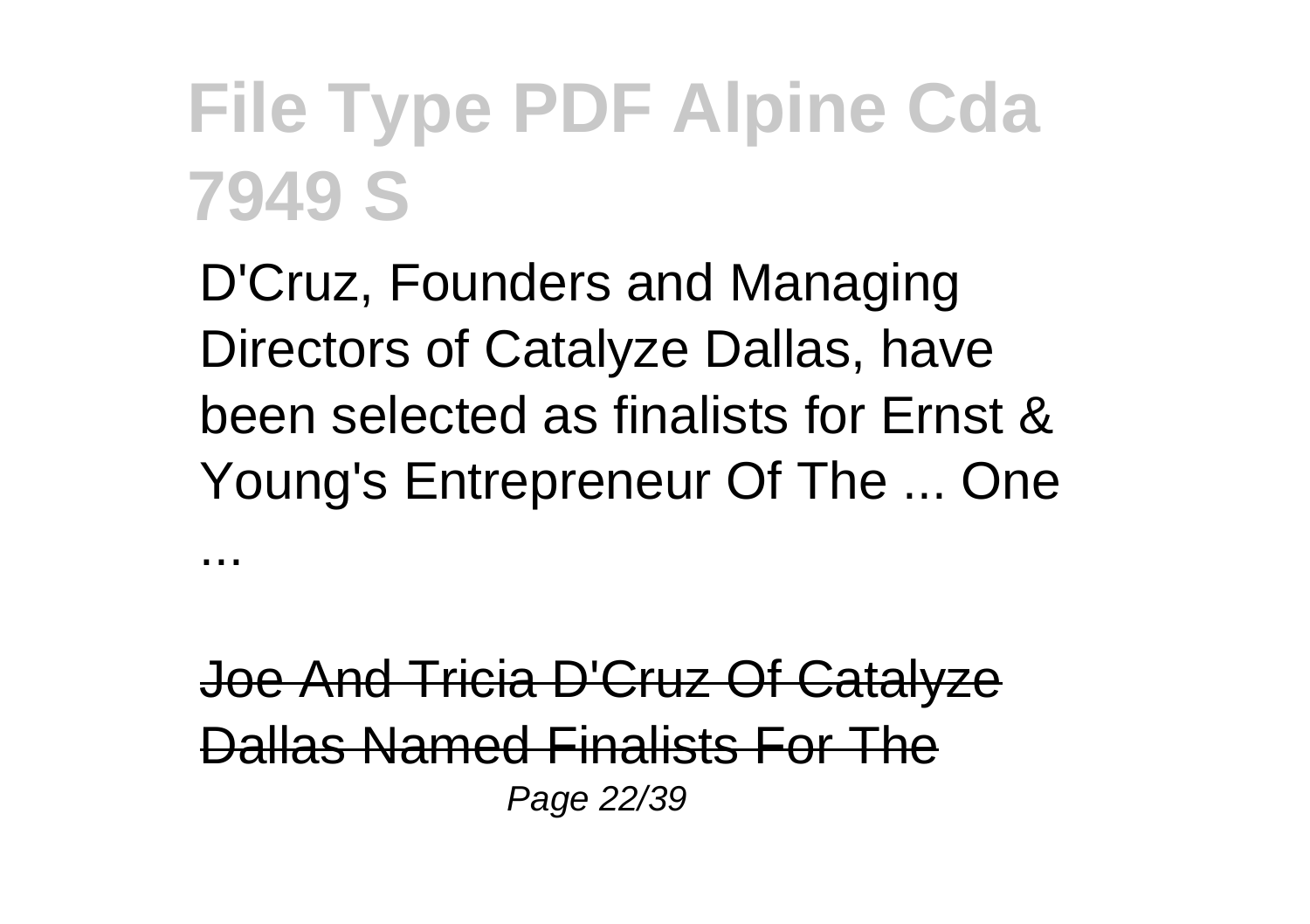D'Cruz, Founders and Managing Directors of Catalyze Dallas, have been selected as finalists for Ernst & Young's Entrepreneur Of The ... One

Joe And Tricia D'Cruz Of Catal Dallas Named Finalists For The Page 22/39

...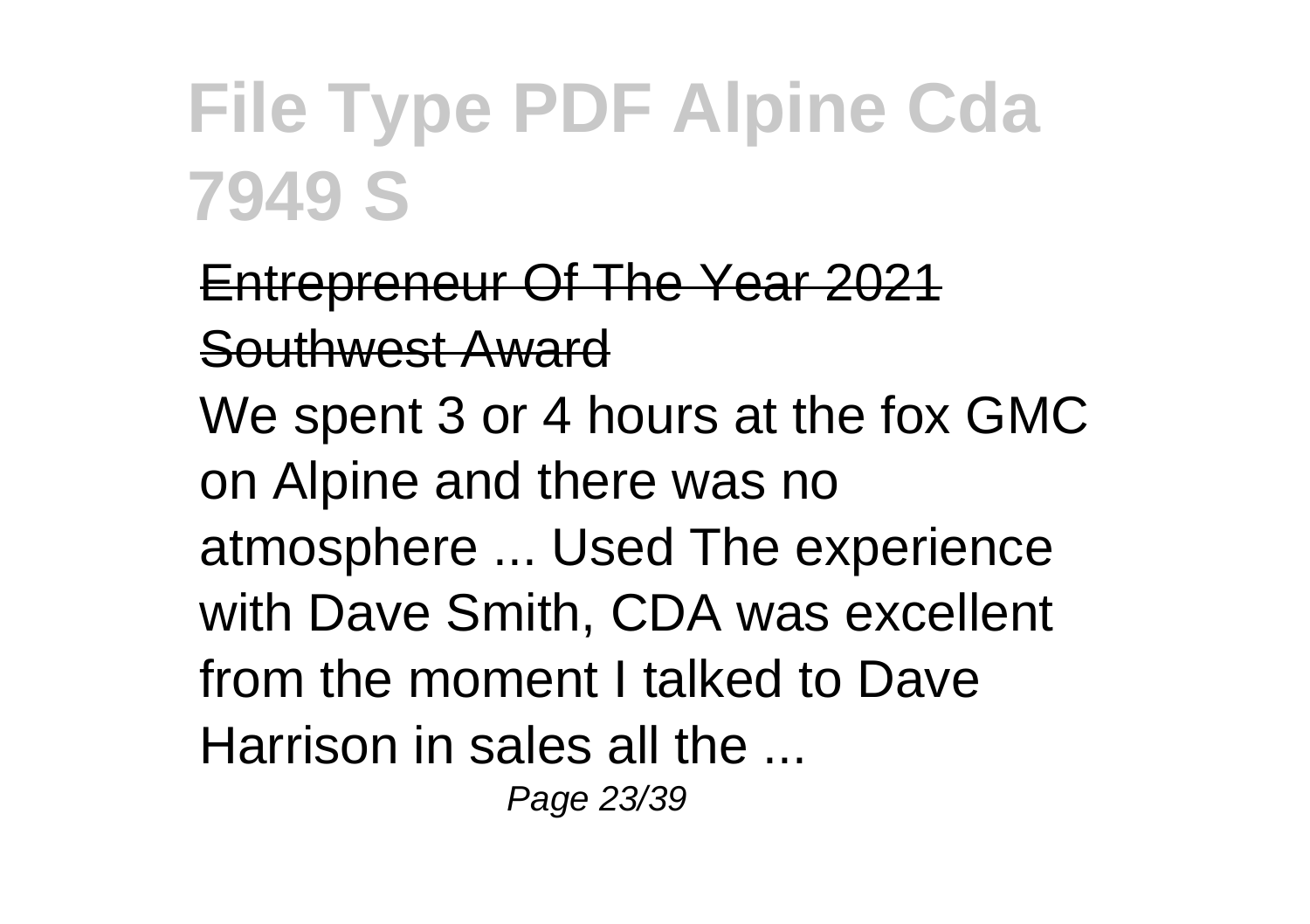Entrepreneur Of The Year 2021 Southwest Award We spent 3 or 4 hours at the fox GMC on Alpine and there was no atmosphere ... Used The experience with Dave Smith, CDA was excellent from the moment I talked to Dave Harrison in sales all the ...

Page 23/39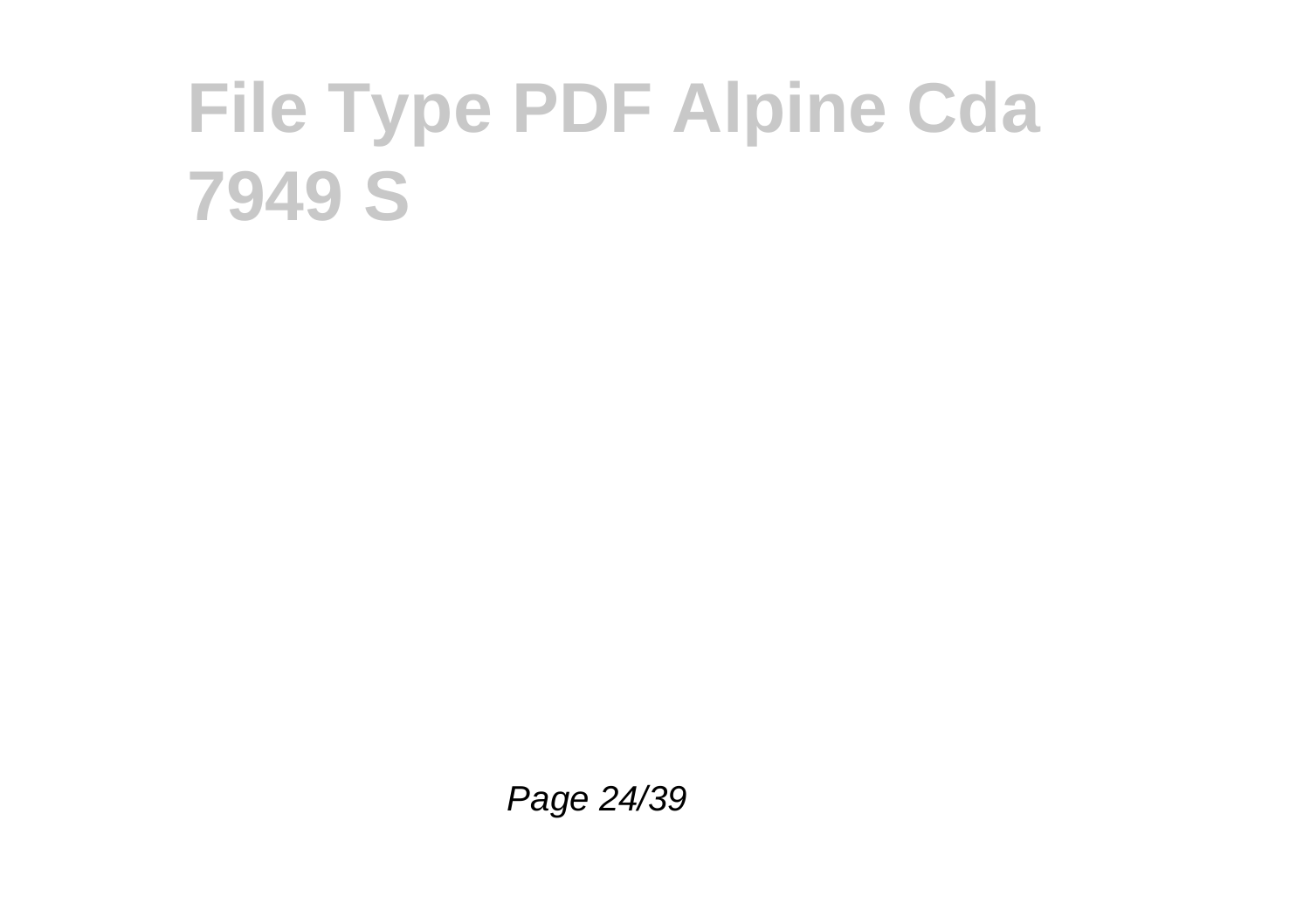Page 24/39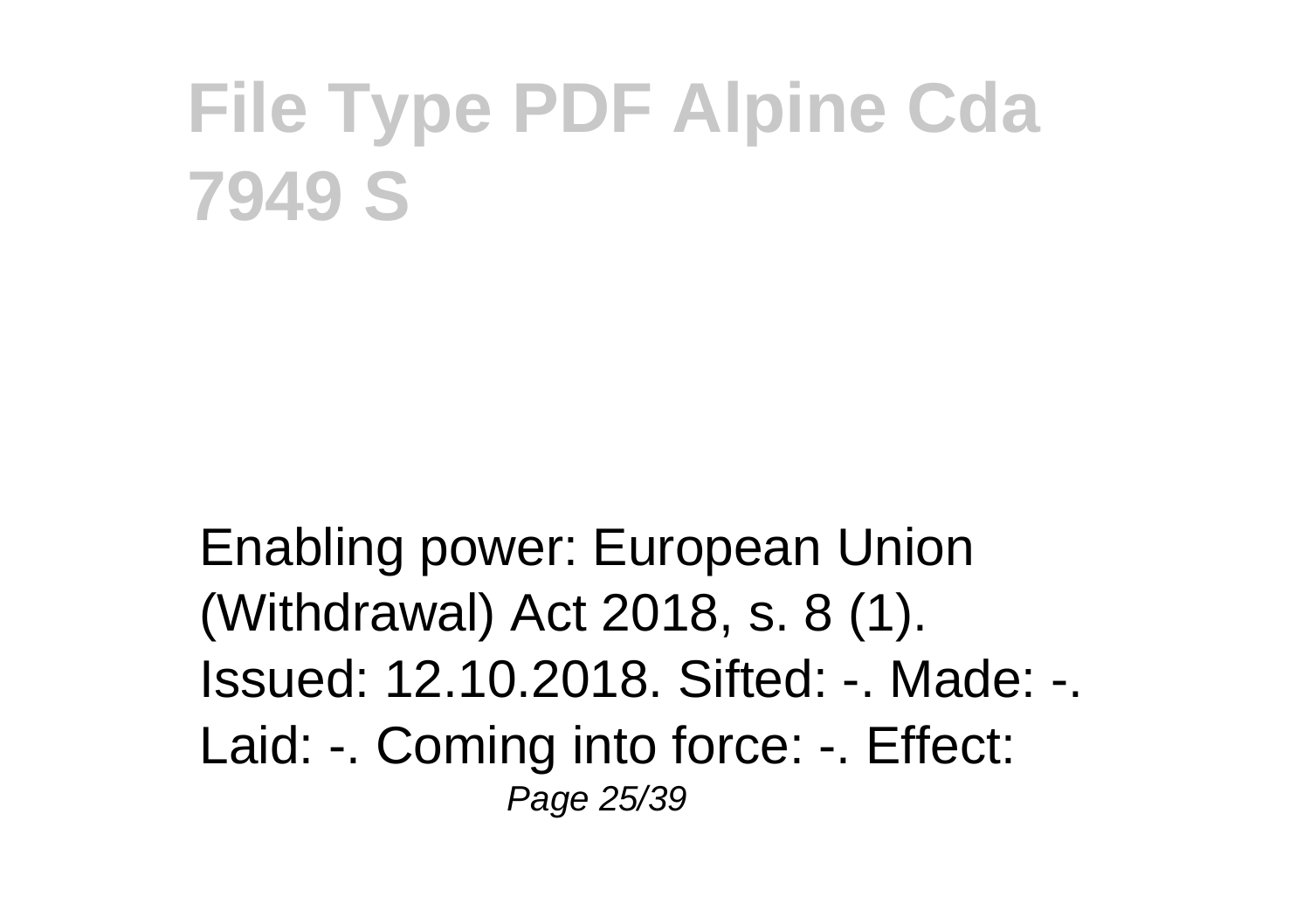Enabling power: European Union (Withdrawal) Act 2018, s. 8 (1). Issued: 12.10.2018. Sifted: -. Made: -. Laid: -. Coming into force: -. Effect: Page 25/39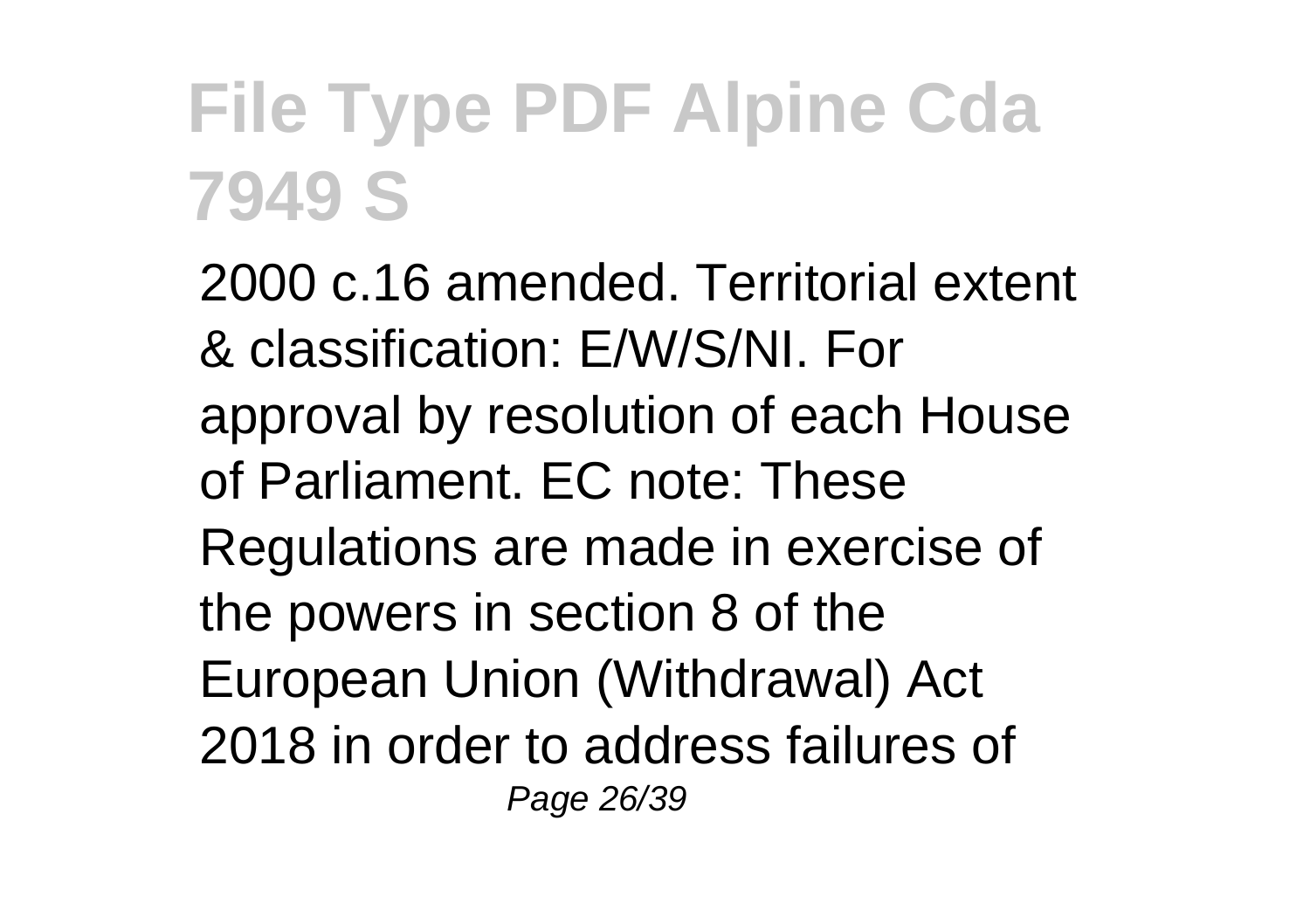2000 c.16 amended. Territorial extent & classification: E/W/S/NI. For approval by resolution of each House of Parliament. EC note: These Regulations are made in exercise of the powers in section 8 of the European Union (Withdrawal) Act 2018 in order to address failures of Page 26/39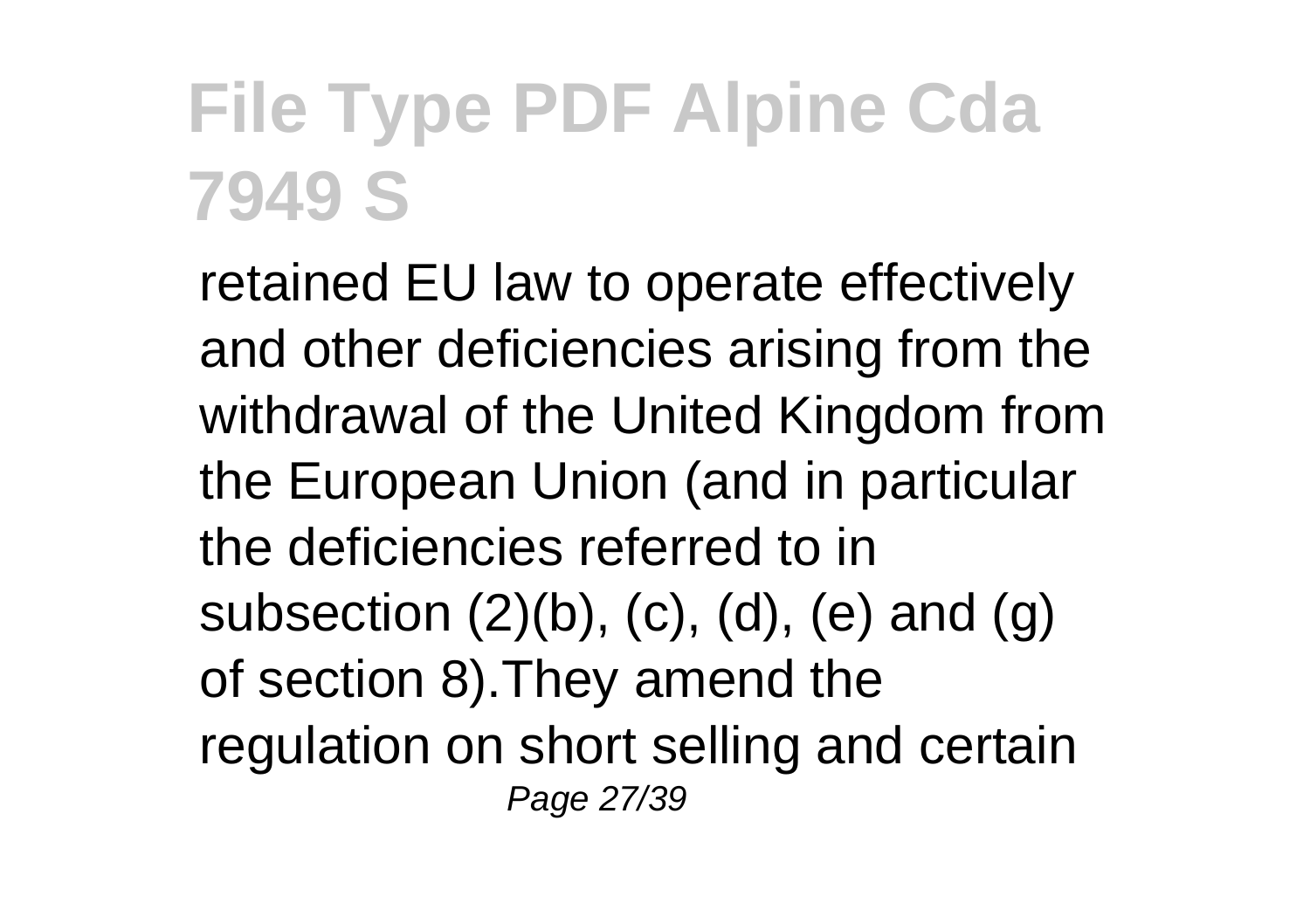retained EU law to operate effectively and other deficiencies arising from the withdrawal of the United Kingdom from the European Union (and in particular the deficiencies referred to in subsection  $(2)(b)$ ,  $(c)$ ,  $(d)$ ,  $(e)$  and  $(q)$ of section 8).They amend the regulation on short selling and certain Page 27/39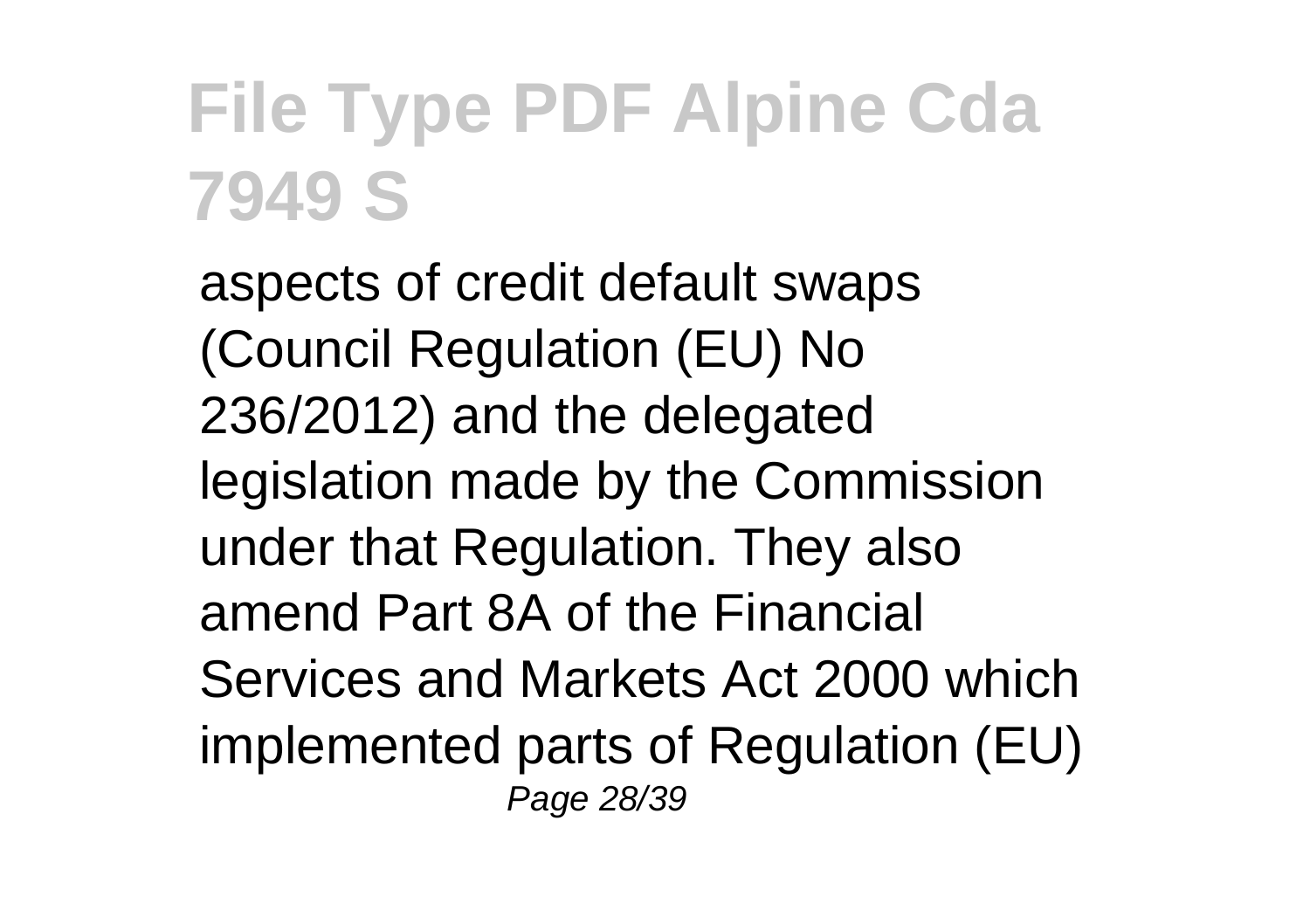aspects of credit default swaps (Council Regulation (EU) No 236/2012) and the delegated legislation made by the Commission under that Regulation. They also amend Part 8A of the Financial Services and Markets Act 2000 which implemented parts of Regulation (EU) Page 28/39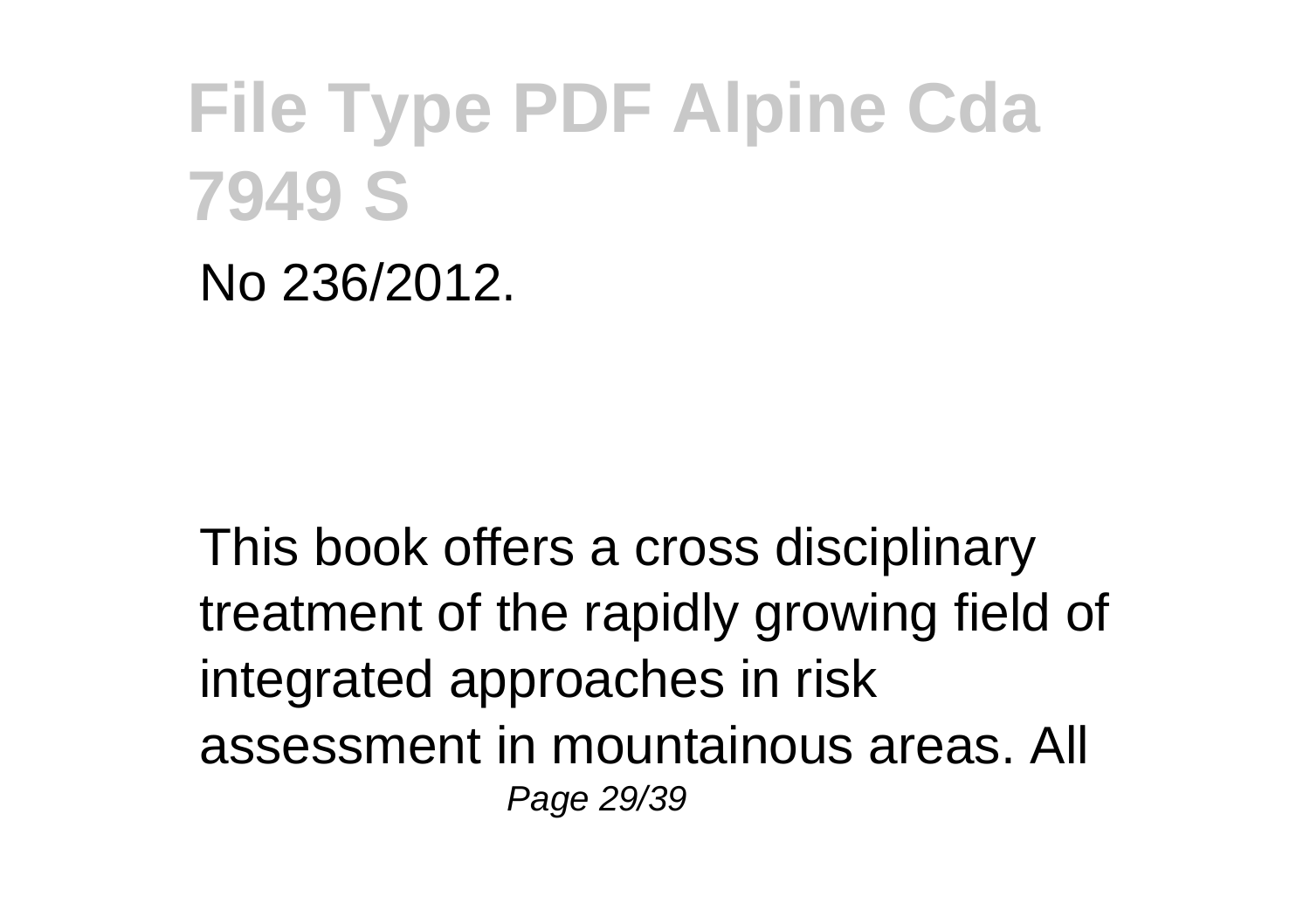No 236/2012.

This book offers a cross disciplinary treatment of the rapidly growing field of integrated approaches in risk assessment in mountainous areas. All Page 29/39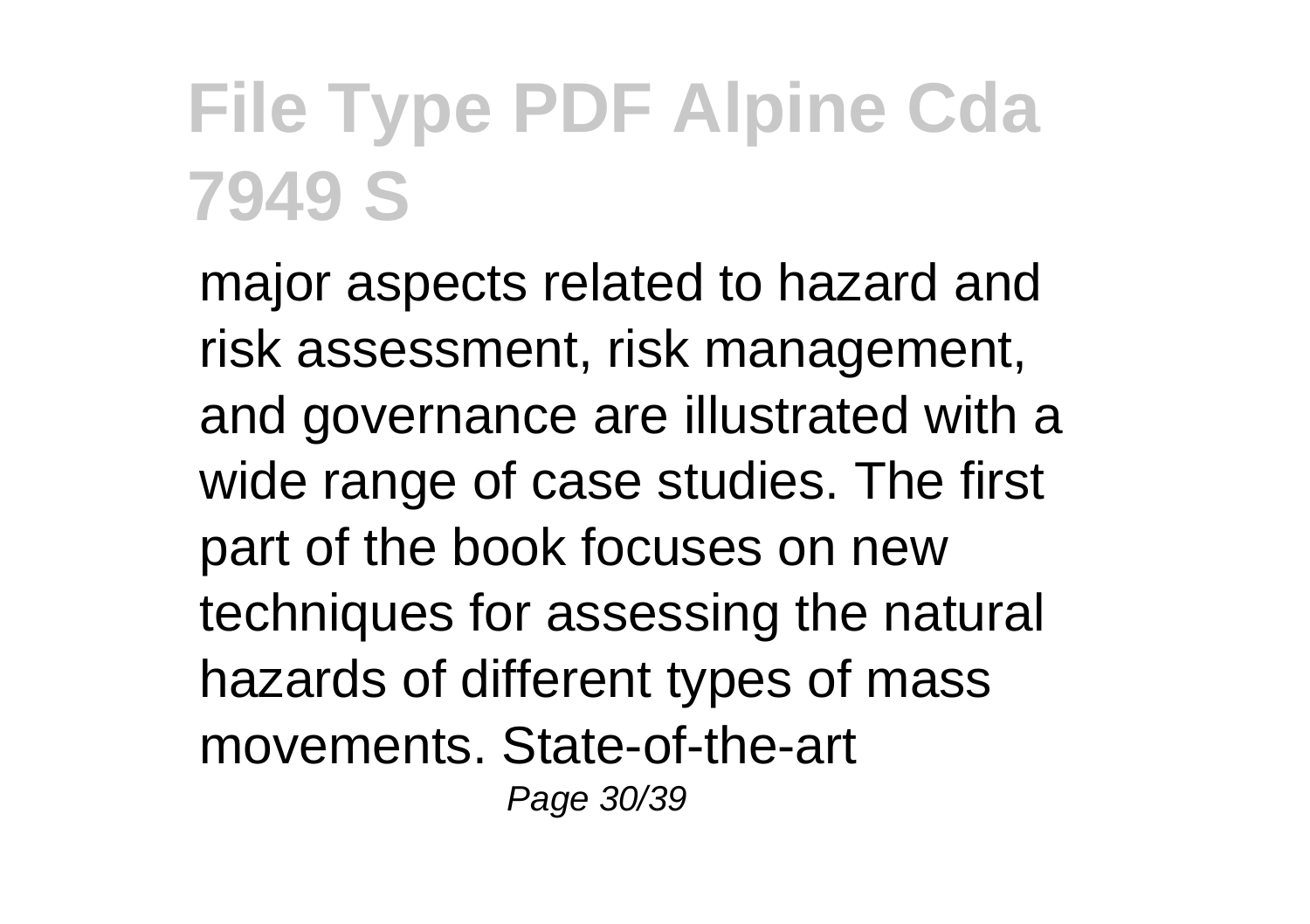major aspects related to hazard and risk assessment, risk management, and governance are illustrated with a wide range of case studies. The first part of the book focuses on new techniques for assessing the natural hazards of different types of mass movements. State-of-the-art Page 30/39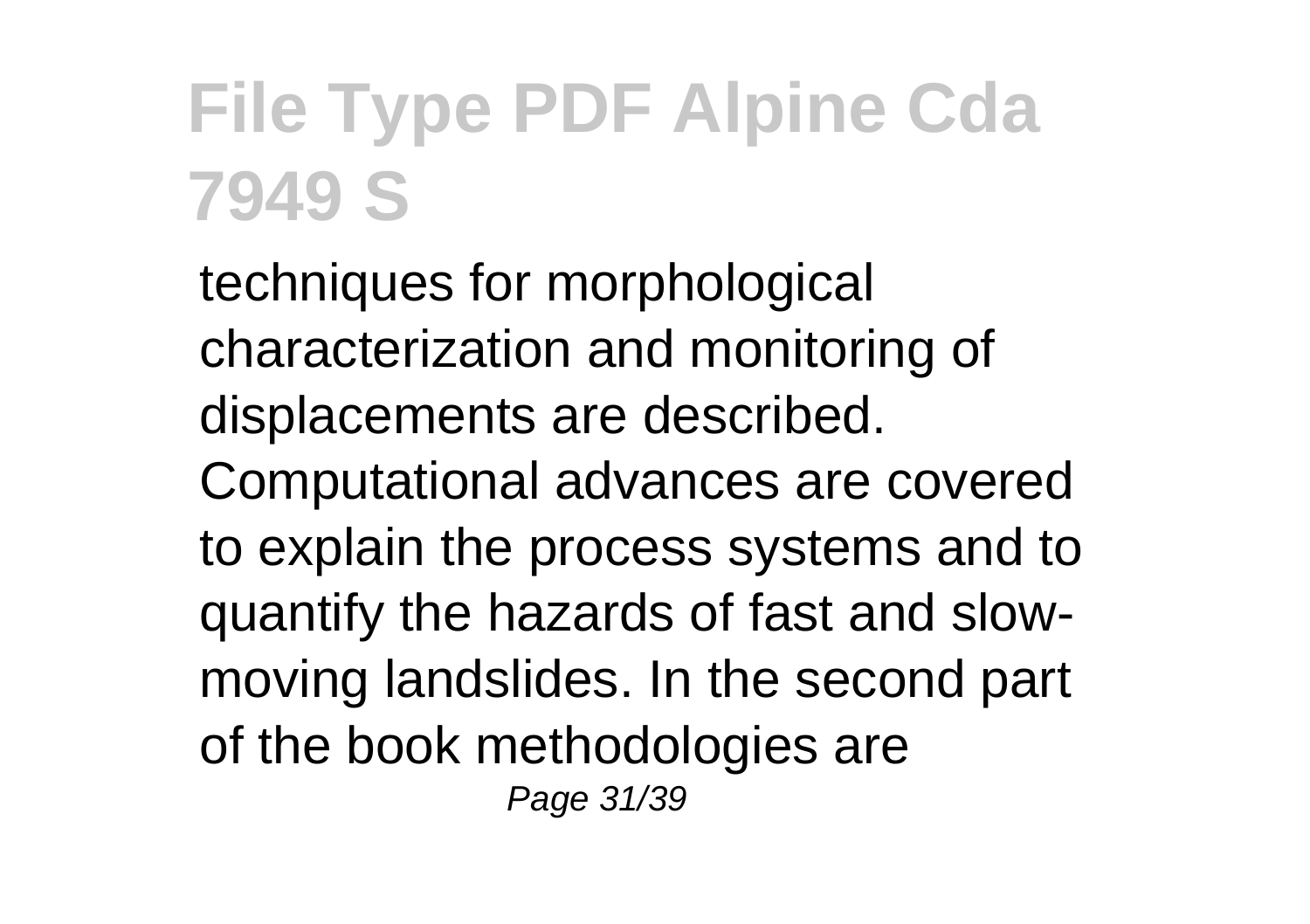techniques for morphological characterization and monitoring of displacements are described. Computational advances are covered to explain the process systems and to quantify the hazards of fast and slowmoving landslides. In the second part of the book methodologies are Page 31/39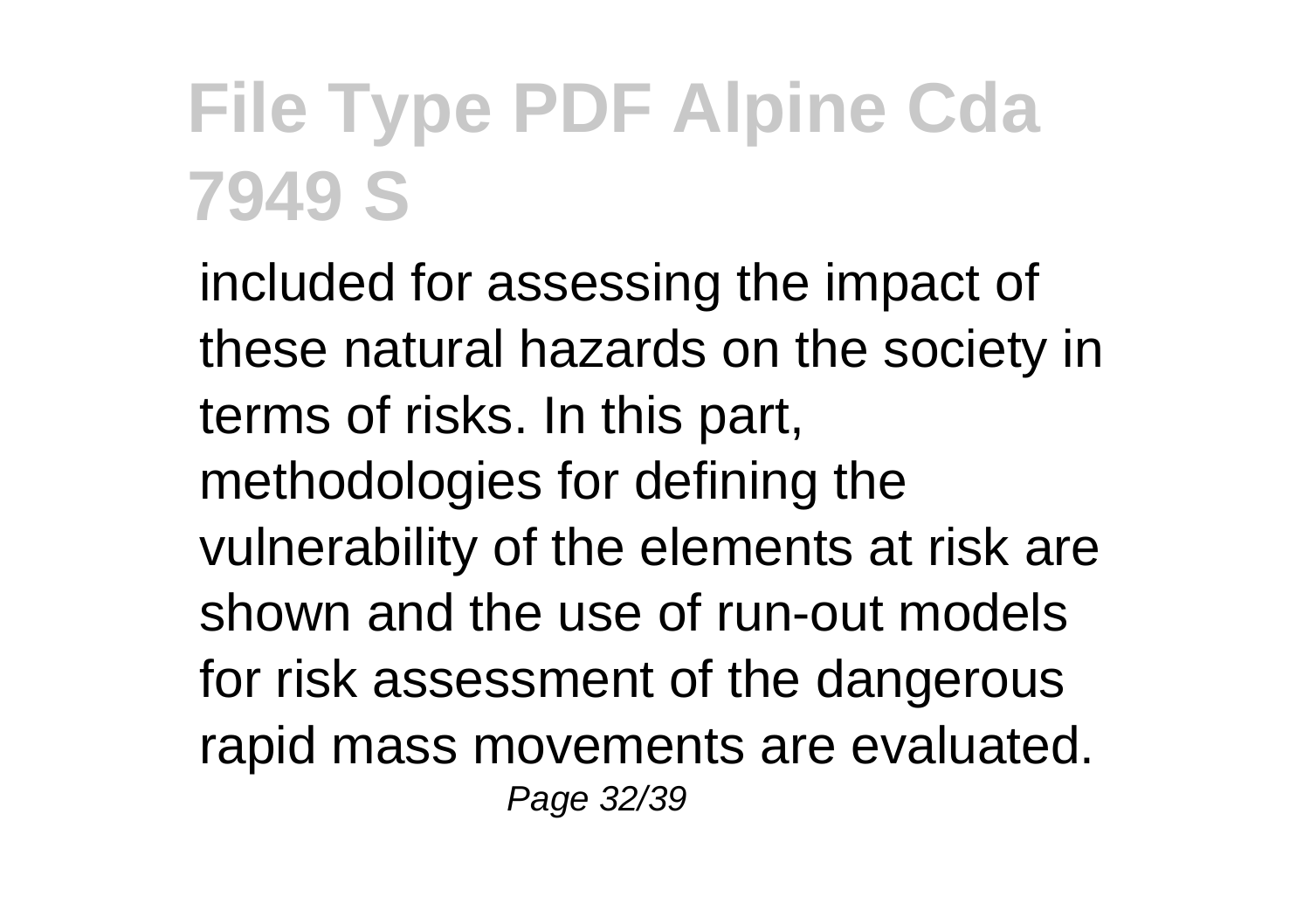included for assessing the impact of these natural hazards on the society in terms of risks. In this part, methodologies for defining the vulnerability of the elements at risk are shown and the use of run-out models for risk assessment of the dangerous rapid mass movements are evaluated. Page 32/39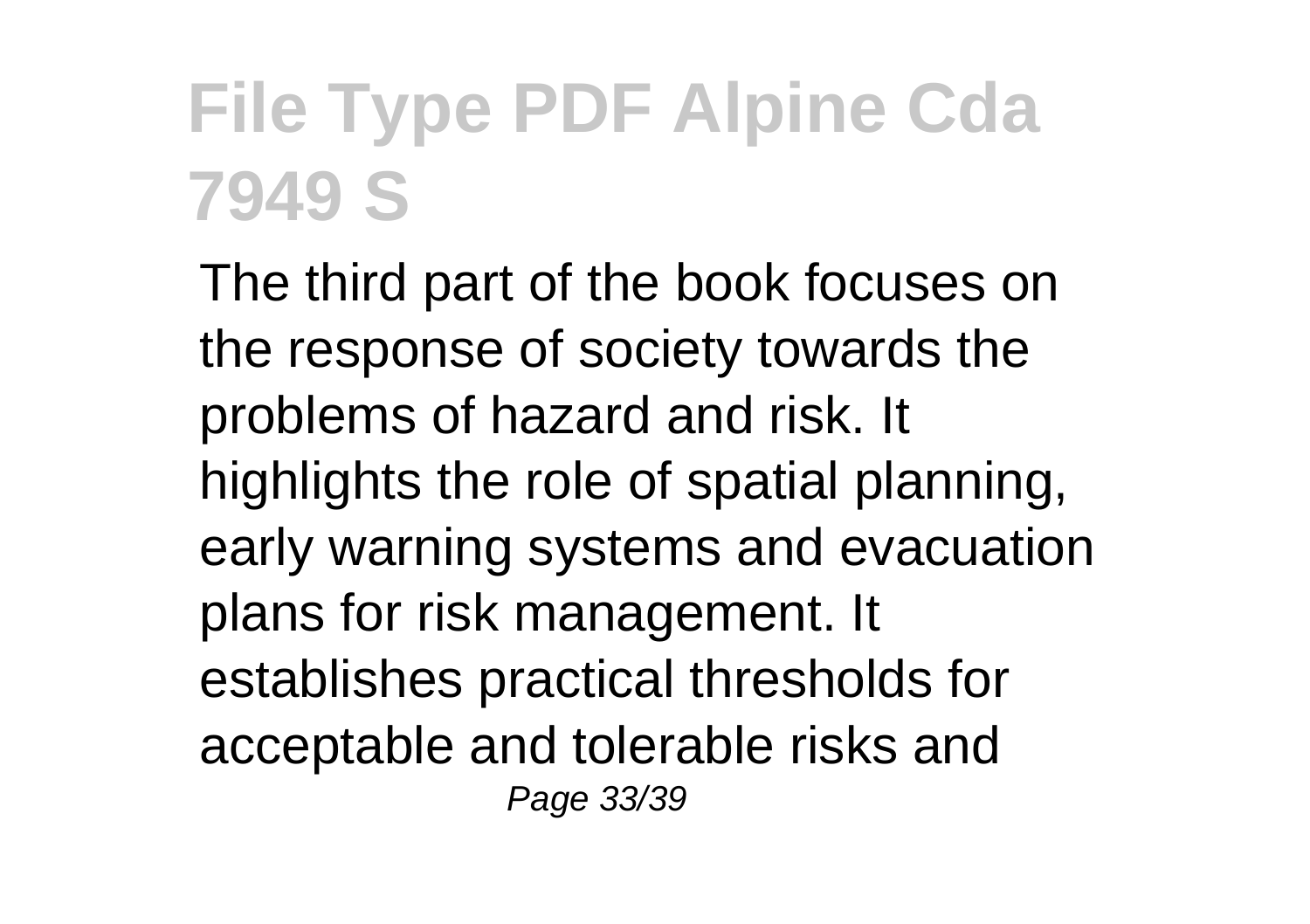The third part of the book focuses on the response of society towards the problems of hazard and risk. It highlights the role of spatial planning, early warning systems and evacuation plans for risk management. It establishes practical thresholds for acceptable and tolerable risks and Page 33/39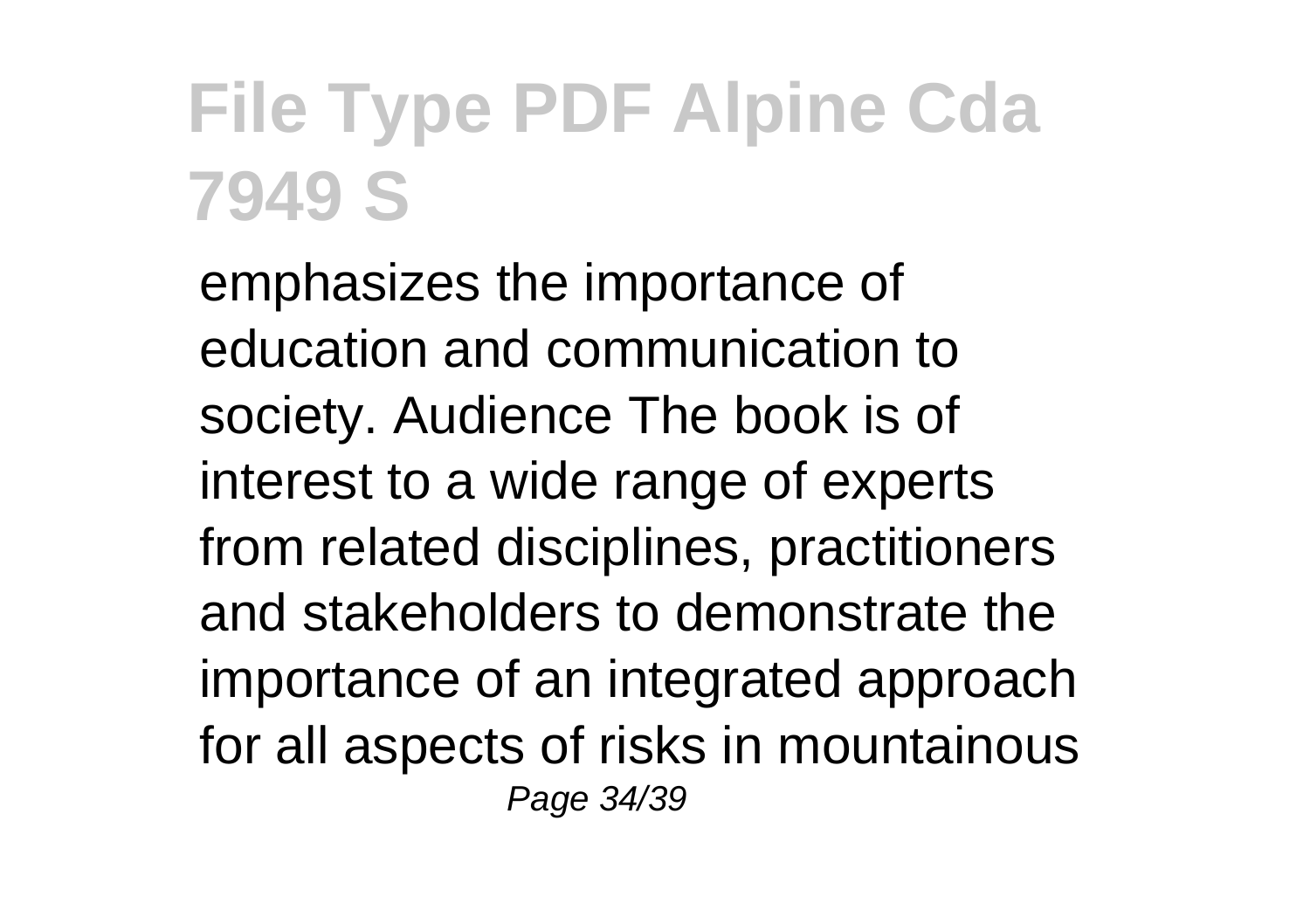emphasizes the importance of education and communication to society. Audience The book is of interest to a wide range of experts from related disciplines, practitioners and stakeholders to demonstrate the importance of an integrated approach for all aspects of risks in mountainous Page 34/39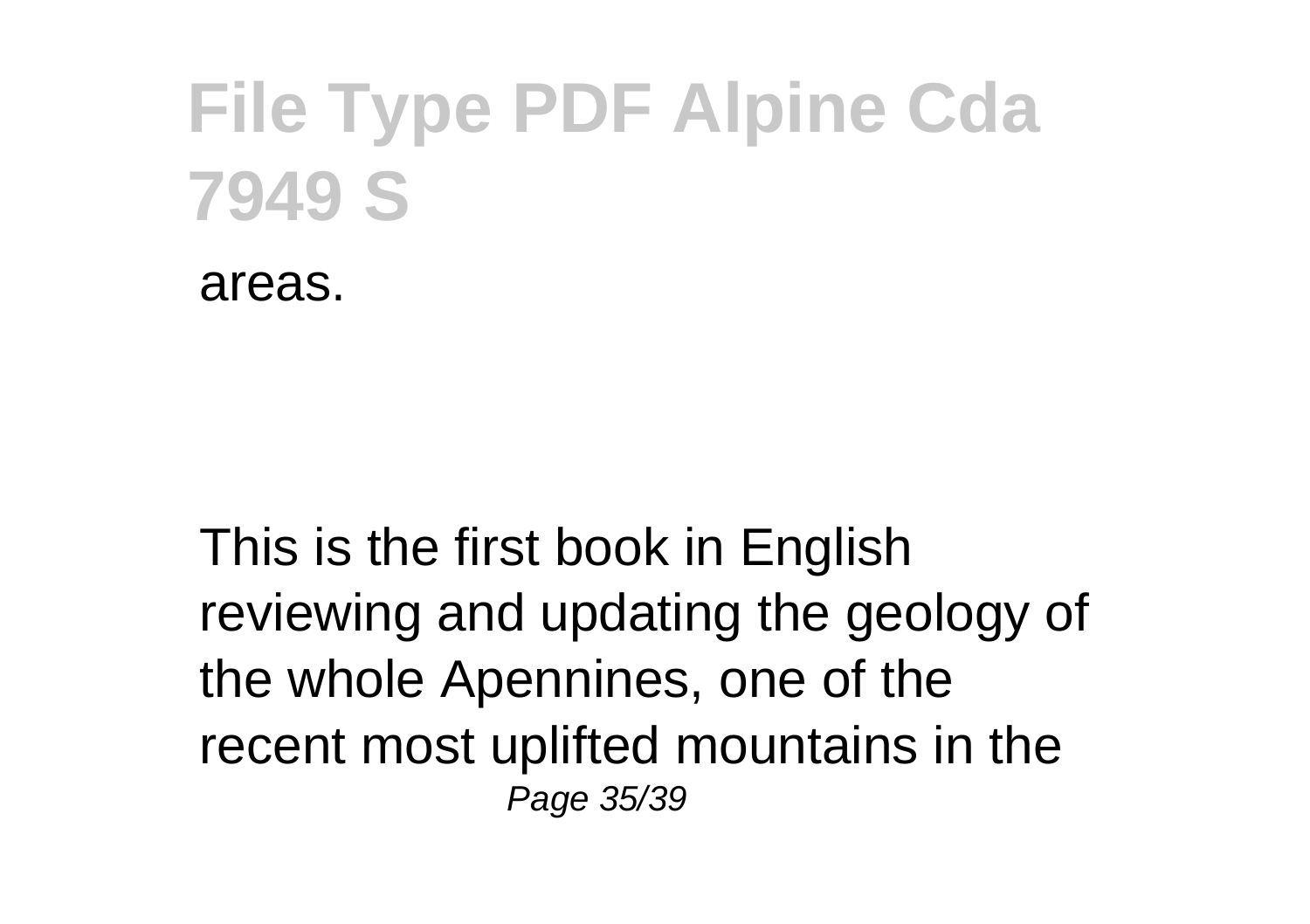areas.

This is the first book in English reviewing and updating the geology of the whole Apennines, one of the recent most uplifted mountains in the Page 35/39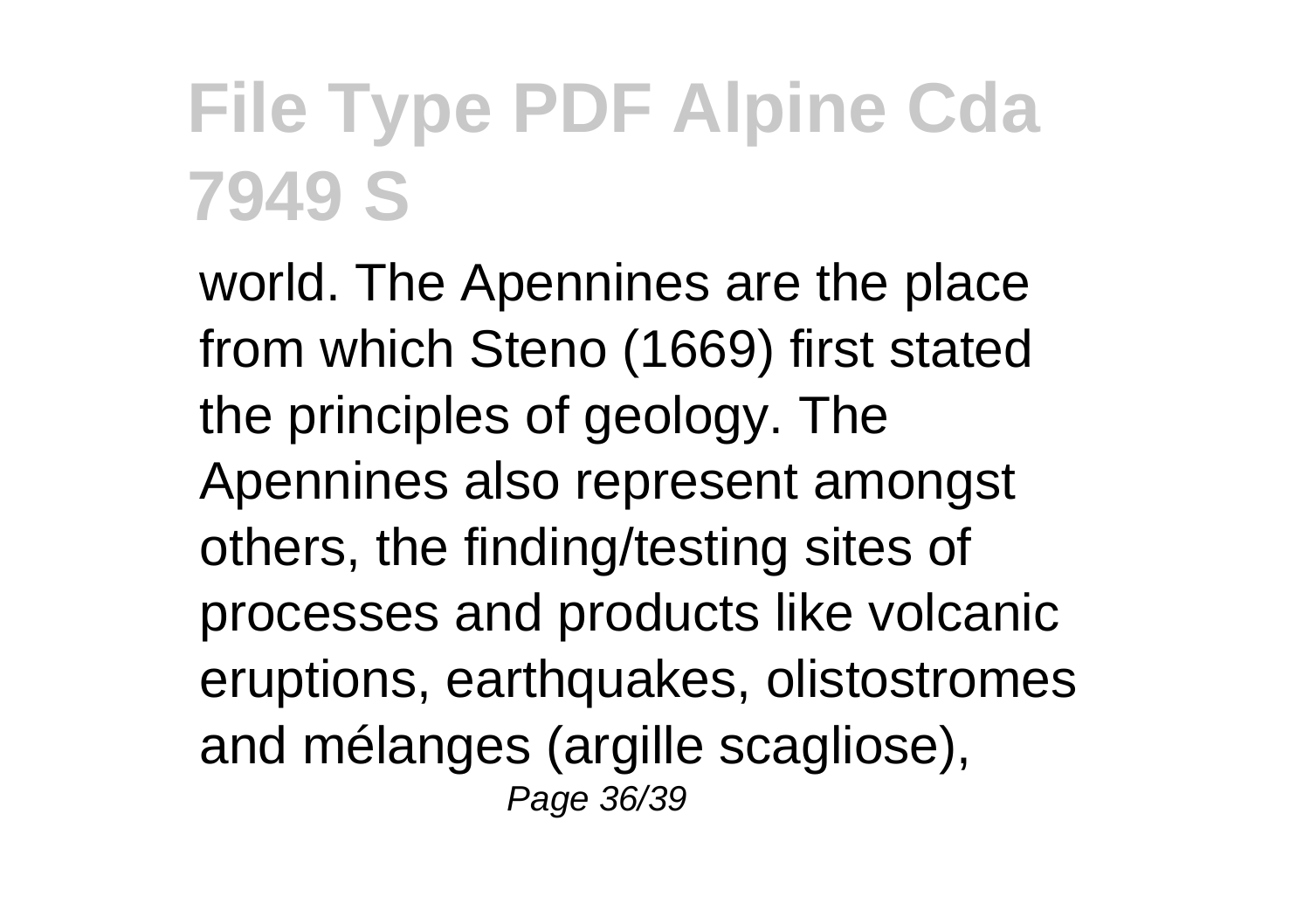world. The Apennines are the place from which Steno (1669) first stated the principles of geology. The Apennines also represent amongst others, the finding/testing sites of processes and products like volcanic eruptions, earthquakes, olistostromes and mélanges (argille scagliose), Page 36/39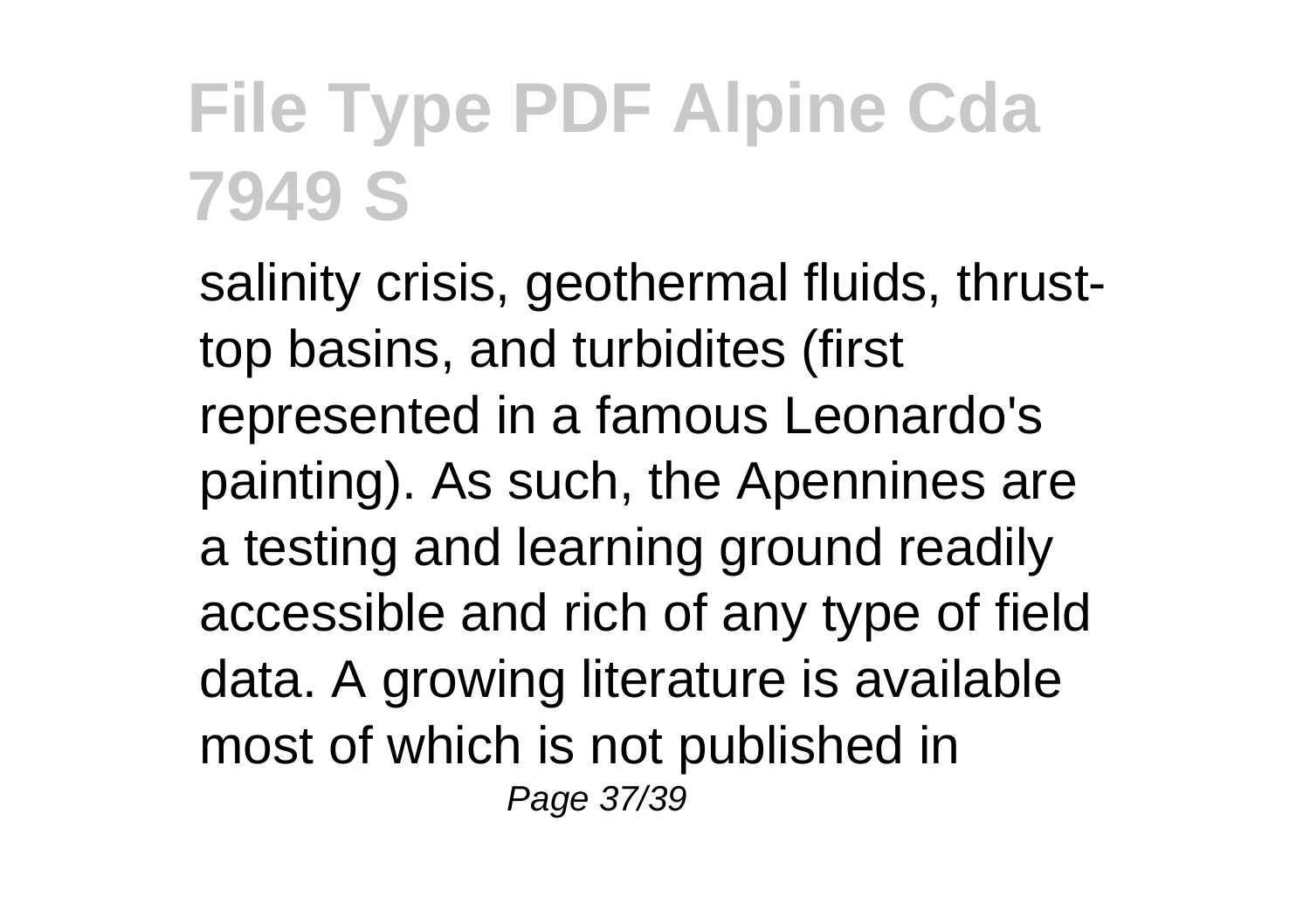salinity crisis, geothermal fluids, thrusttop basins, and turbidites (first represented in a famous Leonardo's painting). As such, the Apennines are a testing and learning ground readily accessible and rich of any type of field data. A growing literature is available most of which is not published in Page 37/39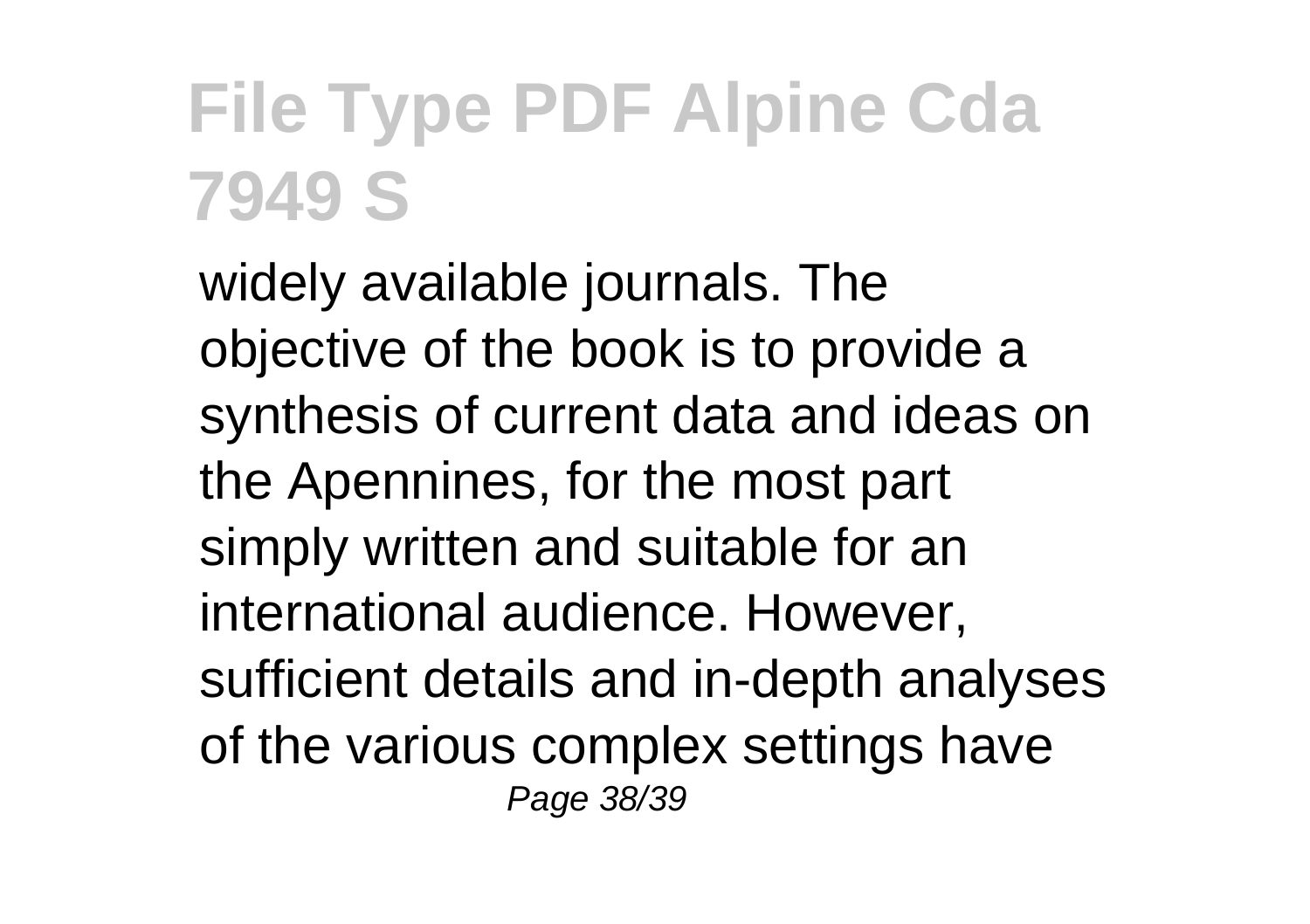widely available journals. The objective of the book is to provide a synthesis of current data and ideas on the Apennines, for the most part simply written and suitable for an international audience. However, sufficient details and in-depth analyses of the various complex settings have Page 38/39